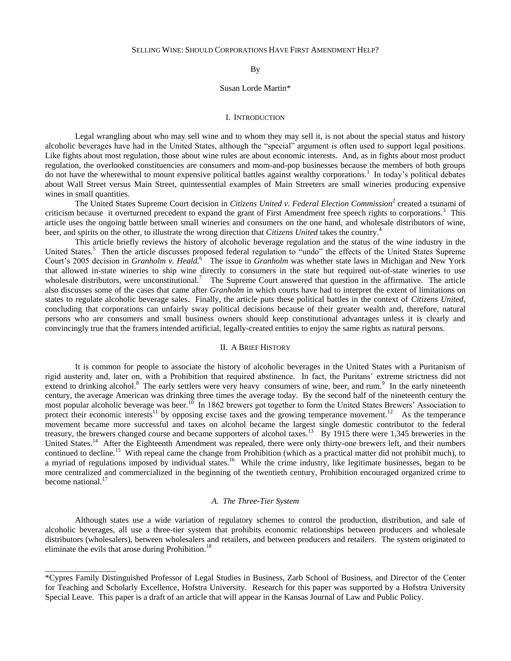By

### Susan Lorde Martin\*

### I. INTRODUCTION

Legal wrangling about who may sell wine and to whom they may sell it, is not about the special status and history alcoholic beverages have had in the United States, although the "special" argument is often used to support legal positions. Like fights about most regulation, those about wine rules are about economic interests. And, as in fights about most product regulation, the overlooked constituencies are consumers and mom-and-pop businesses because the members of both groups do not have the wherewithal to mount expensive political battles against wealthy corporations.<sup>1</sup> In today's political debates about Wall Street versus Main Street, quintessential examples of Main Streeters are small wineries producing expensive wines in small quantities.

The United States Supreme Court decision in *Citizens United v. Federal Election Commission*<sup>2</sup> created a tsunami of criticism because it overturned precedent to expand the grant of First Amendment free speech rights to corporations.<sup>3</sup> This article uses the ongoing battle between small wineries and consumers on the one hand, and wholesale distributors of wine, beer, and spirits on the other, to illustrate the wrong direction that *Citizens United* takes the country.<sup>4</sup>

This article briefly reviews the history of alcoholic beverage regulation and the status of the wine industry in the United States.<sup>5</sup> Then the article discusses proposed federal regulation to "undo" the effects of the United States Supreme Court's 2005 decision in *Granholm v. Heald.*<sup>6</sup> The issue in *Granholm* was whether state laws in Michigan and New York that allowed in-state wineries to ship wine directly to consumers in the state but required out-of-state wineries to use wholesale distributors, were unconstitutional.<sup>7</sup> The Supreme Court answered that question in the affirmative. The article also discusses some of the cases that came after *Granholm* in which courts have had to interpret the extent of limitations on states to regulate alcoholic beverage sales. Finally, the article puts these political battles in the context of *Citizens United*, concluding that corporations can unfairly sway political decisions because of their greater wealth and, therefore, natural persons who are consumers and small business owners should keep constitutional advantages unless it is clearly and convincingly true that the framers intended artificial, legally-created entities to enjoy the same rights as natural persons.

#### II. A BRIEF HISTORY

It is common for people to associate the history of alcoholic beverages in the United States with a Puritanism of rigid austerity and, later on, with a Prohibition that required abstinence. In fact, the Puritans" extreme strictness did not extend to drinking alcohol.<sup>8</sup> The early settlers were very heavy consumers of wine, beer, and rum.<sup>9</sup> In the early nineteenth century, the average American was drinking three times the average today. By the second half of the nineteenth century the most popular alcoholic beverage was beer.<sup>10</sup> In 1862 brewers got together to form the United States Brewers' Association to protect their economic interests<sup>11</sup> by opposing excise taxes and the growing temperance movement.<sup>12</sup> As the temperance movement became more successful and taxes on alcohol became the largest single domestic contributor to the federal treasury, the brewers changed course and became supporters of alcohol taxes.<sup>13</sup> By 1915 there were 1,345 breweries in the United States.<sup>14</sup> After the Eighteenth Amendment was repealed, there were only thirty-one brewers left, and their numbers continued to decline.<sup>15</sup> With repeal came the change from Prohibition (which as a practical matter did not prohibit much), to a myriad of regulations imposed by individual states.<sup>16</sup> While the crime industry, like legitimate businesses, began to be more centralized and commercialized in the beginning of the twentieth century, Prohibition encouraged organized crime to become national.<sup>17</sup>

## *A. The Three-Tier System*

Although states use a wide variation of regulatory schemes to control the production, distribution, and sale of alcoholic beverages, all use a three-tier system that prohibits economic relationships between producers and wholesale distributors (wholesalers), between wholesalers and retailers, and between producers and retailers. The system originated to eliminate the evils that arose during Prohibition.<sup>18</sup>

\_\_\_\_\_\_\_\_\_\_\_\_\_\_\_\_\_

<sup>\*</sup>Cypres Family Distinguished Professor of Legal Studies in Business, Zarb School of Business, and Director of the Center for Teaching and Scholarly Excellence, Hofstra University. Research for this paper was supported by a Hofstra University Special Leave. This paper is a draft of an article that will appear in the Kansas Journal of Law and Public Policy.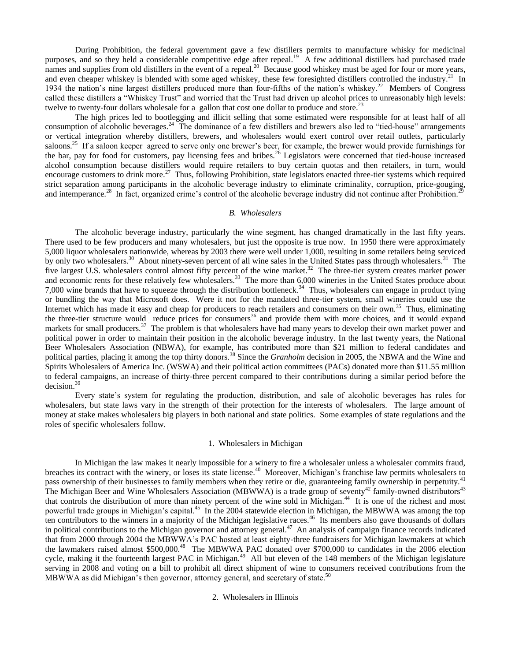During Prohibition, the federal government gave a few distillers permits to manufacture whisky for medicinal purposes, and so they held a considerable competitive edge after repeal.<sup>19</sup> A few additional distillers had purchased trade names and supplies from old distillers in the event of a repeal.<sup>20</sup> Because good whiskey must be aged for four or more years, and even cheaper whiskey is blended with some aged whiskey, these few foresighted distillers controlled the industry.<sup>21</sup> In 1934 the nation's nine largest distillers produced more than four-fifths of the nation's whiskey.<sup>22</sup> Members of Congress called these distillers a "Whiskey Trust" and worried that the Trust had driven up alcohol prices to unreasonably high levels: twelve to twenty-four dollars wholesale for a gallon that cost one dollar to produce and store.<sup>23</sup>

The high prices led to bootlegging and illicit selling that some estimated were responsible for at least half of all consumption of alcoholic beverages.<sup>24</sup> The dominance of a few distillers and brewers also led to "tied-house" arrangements or vertical integration whereby distillers, brewers, and wholesalers would exert control over retail outlets, particularly saloons.<sup>25</sup> If a saloon keeper agreed to serve only one brewer's beer, for example, the brewer would provide furnishings for the bar, pay for food for customers, pay licensing fees and bribes.<sup>26</sup> Legislators were concerned that tied-house increased alcohol consumption because distillers would require retailers to buy certain quotas and then retailers, in turn, would encourage customers to drink more.<sup>27</sup> Thus, following Prohibition, state legislators enacted three-tier systems which required strict separation among participants in the alcoholic beverage industry to eliminate criminality, corruption, price-gouging, and intemperance.<sup>28</sup> In fact, organized crime's control of the alcoholic beverage industry did not continue after Prohibition.<sup>29</sup>

### *B. Wholesalers*

The alcoholic beverage industry, particularly the wine segment, has changed dramatically in the last fifty years. There used to be few producers and many wholesalers, but just the opposite is true now. In 1950 there were approximately 5,000 liquor wholesalers nationwide, whereas by 2003 there were well under 1,000, resulting in some retailers being serviced by only two wholesalers.<sup>30</sup> About ninety-seven percent of all wine sales in the United States pass through wholesalers.<sup>31</sup> The five largest U.S. wholesalers control almost fifty percent of the wine market.<sup>32</sup> The three-tier system creates market power and economic rents for these relatively few wholesalers.<sup>33</sup> The more than 6,000 wineries in the United States produce about 7,000 wine brands that have to squeeze through the distribution bottleneck.<sup>34</sup> Thus, wholesalers can engage in product tying or bundling the way that Microsoft does. Were it not for the mandated three-tier system, small wineries could use the Internet which has made it easy and cheap for producers to reach retailers and consumers on their own.<sup>35</sup> Thus, eliminating the three-tier structure would reduce prices for consumers<sup>36</sup> and provide them with more choices, and it would expand markets for small producers.<sup>37</sup> The problem is that wholesalers have had many years to develop their own market power and political power in order to maintain their position in the alcoholic beverage industry. In the last twenty years, the National Beer Wholesalers Association (NBWA), for example, has contributed more than \$21 million to federal candidates and political parties, placing it among the top thirty donors.<sup>38</sup> Since the *Granholm* decision in 2005, the NBWA and the Wine and Spirits Wholesalers of America Inc. (WSWA) and their political action committees (PACs) donated more than \$11.55 million to federal campaigns, an increase of thirty-three percent compared to their contributions during a similar period before the decision.<sup>39</sup>

Every state"s system for regulating the production, distribution, and sale of alcoholic beverages has rules for wholesalers, but state laws vary in the strength of their protection for the interests of wholesalers. The large amount of money at stake makes wholesalers big players in both national and state politics. Some examples of state regulations and the roles of specific wholesalers follow.

## 1. Wholesalers in Michigan

In Michigan the law makes it nearly impossible for a winery to fire a wholesaler unless a wholesaler commits fraud, breaches its contract with the winery, or loses its state license.<sup>40</sup> Moreover, Michigan's franchise law permits wholesalers to pass ownership of their businesses to family members when they retire or die, guaranteeing family ownership in perpetuity.<sup>41</sup> The Michigan Beer and Wine Wholesalers Association (MBWWA) is a trade group of seventy<sup>42</sup> family-owned distributors<sup>43</sup> that controls the distribution of more than ninety percent of the wine sold in Michigan.<sup>44</sup> It is one of the richest and most powerful trade groups in Michigan's capital.<sup>45</sup> In the 2004 statewide election in Michigan, the MBWWA was among the top ten contributors to the winners in a majority of the Michigan legislative races.<sup>46</sup> Its members also gave thousands of dollars in political contributions to the Michigan governor and attorney general.<sup>47</sup> An analysis of campaign finance records indicated that from 2000 through 2004 the MBWWA"s PAC hosted at least eighty-three fundraisers for Michigan lawmakers at which the lawmakers raised almost \$500,000.<sup>48</sup> The MBWWA PAC donated over \$700,000 to candidates in the 2006 election cycle, making it the fourteenth largest PAC in Michigan.<sup>49</sup> All but eleven of the 148 members of the Michigan legislature serving in 2008 and voting on a bill to prohibit all direct shipment of wine to consumers received contributions from the MBWWA as did Michigan's then governor, attorney general, and secretary of state.<sup>50</sup>

#### 2. Wholesalers in Illinois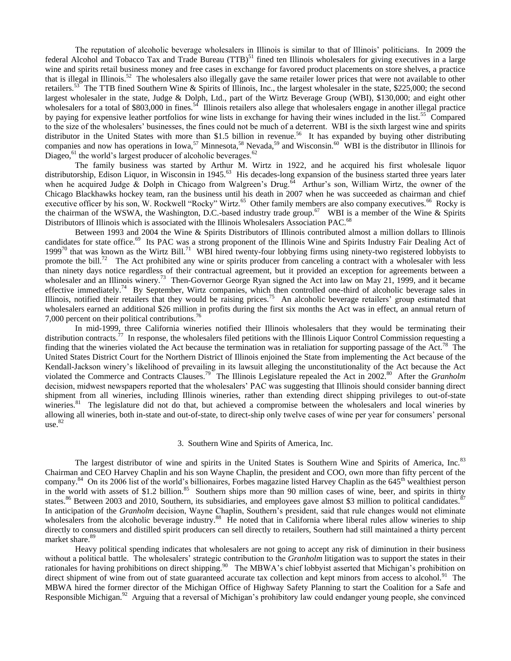The reputation of alcoholic beverage wholesalers in Illinois is similar to that of Illinois" politicians. In 2009 the federal Alcohol and Tobacco Tax and Trade Bureau (TTB)<sup>51</sup> fined ten Illinois wholesalers for giving executives in a large wine and spirits retail business money and free cases in exchange for favored product placements on store shelves, a practice that is illegal in Illinois.<sup>52</sup> The wholesalers also illegally gave the same retailer lower prices that were not available to other retailers.<sup>53</sup> The TTB fined Southern Wine & Spirits of Illinois, Inc., the largest wholesaler in the state, \$225,000; the second largest wholesaler in the state, Judge & Dolph, Ltd., part of the Wirtz Beverage Group (WBI), \$130,000; and eight other wholesalers for a total of \$803,000 in fines.<sup>54</sup> Illinois retailers also allege that wholesalers engage in another illegal practice by paying for expensive leather portfolios for wine lists in exchange for having their wines included in the list.<sup>55</sup> Compared to the size of the wholesalers" businesses, the fines could not be much of a deterrent. WBI is the sixth largest wine and spirits distributor in the United States with more than \$1.5 billion in revenue.<sup>56</sup> It has expanded by buying other distributing companies and now has operations in Iowa,<sup>57</sup> Minnesota,<sup>58</sup> Nevada,<sup>59</sup> and Wisconsin.<sup>60</sup> WBI is the distributor in Illinois for Diageo, $^{61}$  the world's largest producer of alcoholic beverages. $^{62}$ 

The family business was started by Arthur M. Wirtz in 1922, and he acquired his first wholesale liquor distributorship, Edison Liquor, in Wisconsin in 1945.<sup>63</sup> His decades-long expansion of the business started three years later when he acquired Judge  $\&$  Dolph in Chicago from Walgreen's Drug.<sup>64</sup> Arthur's son, William Wirtz, the owner of the Chicago Blackhawks hockey team, ran the business until his death in 2007 when he was succeeded as chairman and chief executive officer by his son, W. Rockwell "Rocky" Wirtz.<sup>65</sup> Other family members are also company executives.<sup>66</sup> Rocky is the chairman of the WSWA, the Washington, D.C.-based industry trade group.<sup>67</sup> WBI is a member of the Wine & Spirits Distributors of Illinois which is associated with the Illinois Wholesalers Association PAC.<sup>68</sup>

Between 1993 and 2004 the Wine & Spirits Distributors of Illinois contributed almost a million dollars to Illinois candidates for state office.<sup>69</sup> Its PAC was a strong proponent of the Illinois Wine and Spirits Industry Fair Dealing Act of  $1999<sup>70</sup>$  that was known as the Wirtz Bill.<sup>71</sup> WBI hired twenty-four lobbying firms using ninety-two registered lobbyists to promote the bill.<sup>72</sup> The Act prohibited any wine or spirits producer from canceling a contract with a wholesaler with less than ninety days notice regardless of their contractual agreement, but it provided an exception for agreements between a wholesaler and an Illinois winery.<sup>73</sup> Then-Governor George Ryan signed the Act into law on May 21, 1999, and it became effective immediately.<sup>74</sup> By September, Wirtz companies, which then controlled one-third of alcoholic beverage sales in Illinois, notified their retailers that they would be raising prices.<sup>75</sup> An alcoholic beverage retailers' group estimated that wholesalers earned an additional \$26 million in profits during the first six months the Act was in effect, an annual return of 7,000 percent on their political contributions.<sup>76</sup>

In mid-1999, three California wineries notified their Illinois wholesalers that they would be terminating their distribution contracts.<sup>77</sup> In response, the wholesalers filed petitions with the Illinois Liquor Control Commission requesting a finding that the wineries violated the Act because the termination was in retaliation for supporting passage of the Act.<sup>78</sup> The United States District Court for the Northern District of Illinois enjoined the State from implementing the Act because of the Kendall-Jackson winery"s likelihood of prevailing in its lawsuit alleging the unconstitutionality of the Act because the Act violated the Commerce and Contracts Clauses.<sup>79</sup> The Illinois Legislature repealed the Act in 2002.<sup>80</sup> After the *Granholm* decision, midwest newspapers reported that the wholesalers" PAC was suggesting that Illinois should consider banning direct shipment from all wineries, including Illinois wineries, rather than extending direct shipping privileges to out-of-state wineries.<sup>81</sup> The legislature did not do that, but achieved a compromise between the wholesalers and local wineries by allowing all wineries, both in-state and out-of-state, to direct-ship only twelve cases of wine per year for consumers" personal  $use.<sup>82</sup>$ 

### 3. Southern Wine and Spirits of America, Inc.

The largest distributor of wine and spirits in the United States is Southern Wine and Spirits of America, Inc.<sup>83</sup> Chairman and CEO Harvey Chaplin and his son Wayne Chaplin, the president and COO, own more than fifty percent of the company.<sup>84</sup> On its 2006 list of the world's billionaires, Forbes magazine listed Harvey Chaplin as the 645<sup>th</sup> wealthiest person in the world with assets of \$1.2 billion.<sup>85</sup> Southern ships more than 90 million cases of wine, beer, and spirits in thirty states.<sup>86</sup> Between 2003 and 2010, Southern, its subsidiaries, and employees gave almost \$3 million to political candidates.<sup>8</sup> In anticipation of the *Granholm* decision, Wayne Chaplin, Southern"s president, said that rule changes would not eliminate wholesalers from the alcoholic beverage industry.<sup>88</sup> He noted that in California where liberal rules allow wineries to ship directly to consumers and distilled spirit producers can sell directly to retailers, Southern had still maintained a thirty percent market share.<sup>89</sup>

Heavy political spending indicates that wholesalers are not going to accept any risk of diminution in their business without a political battle. The wholesalers" strategic contribution to the *Granholm* litigation was to support the states in their rationales for having prohibitions on direct shipping.<sup>90</sup> The MBWA's chief lobbyist asserted that Michigan's prohibition on direct shipment of wine from out of state guaranteed accurate tax collection and kept minors from access to alcohol.<sup>91</sup> The MBWA hired the former director of the Michigan Office of Highway Safety Planning to start the Coalition for a Safe and Responsible Michigan.<sup>92</sup> Arguing that a reversal of Michigan's prohibitory law could endanger young people, she convinced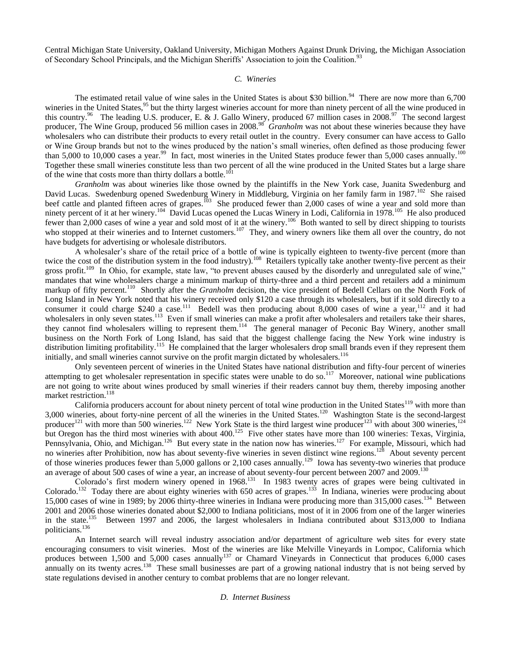Central Michigan State University, Oakland University, Michigan Mothers Against Drunk Driving, the Michigan Association of Secondary School Principals, and the Michigan Sheriffs' Association to join the Coalition.<sup>93</sup>

# *C. Wineries*

The estimated retail value of wine sales in the United States is about \$30 billion.<sup>94</sup> There are now more than  $6,700$ wineries in the United States,<sup>95</sup> but the thirty largest wineries account for more than ninety percent of all the wine produced in this country.<sup>96</sup> The leading U.S. producer, E. & J. Gallo Winery, produced 67 million cases in 2008.<sup>97</sup> The second largest producer, The Wine Group, produced 56 million cases in 2008.<sup>98</sup> Granholm was not about these wineries because they have wholesalers who can distribute their products to every retail outlet in the country. Every consumer can have access to Gallo or Wine Group brands but not to the wines produced by the nation"s small wineries, often defined as those producing fewer than 5,000 to  $10,000$  cases a year.<sup>99</sup> In fact, most wineries in the United States produce fewer than 5,000 cases annually.<sup>100</sup> Together these small wineries constitute less than two percent of all the wine produced in the United States but a large share of the wine that costs more than thirty dollars a bottle.<sup>101</sup>

*Granholm* was about wineries like those owned by the plaintiffs in the New York case, Juanita Swedenburg and David Lucas. Swedenburg opened Swedenburg Winery in Middleburg, Virginia on her family farm in 1987.<sup>102</sup> She raised beef cattle and planted fifteen acres of grapes.<sup>103</sup> She produced fewer than 2,000 cases of wine a year and sold more than ninety percent of it at her winery.<sup>104</sup> David Lucas opened the Lucas Winery in Lodi, California in 1978.<sup>105</sup> He also produced fewer than 2,000 cases of wine a year and sold most of it at the winery.<sup>106</sup> Both wanted to sell by direct shipping to tourists who stopped at their wineries and to Internet customers.<sup>107</sup> They, and winery owners like them all over the country, do not have budgets for advertising or wholesale distributors.

A wholesaler's share of the retail price of a bottle of wine is typically eighteen to twenty-five percent (more than twice the cost of the distribution system in the food industry).<sup>108</sup> Retailers typically take another twenty-five percent as their gross profit.<sup>109</sup> In Ohio, for example, state law, "to prevent abuses caused by the disorderly and unregulated sale of wine," mandates that wine wholesalers charge a minimum markup of thirty-three and a third percent and retailers add a minimum markup of fifty percent.<sup>110</sup> Shortly after the *Granholm* decision, the vice president of Bedell Cellars on the North Fork of Long Island in New York noted that his winery received only \$120 a case through its wholesalers, but if it sold directly to a consumer it could charge \$240 a case.<sup>111</sup> Bedell was then producing about 8,000 cases of wine a year,<sup>112</sup> and it had wholesalers in only seven states.<sup>113</sup> Even if small wineries can make a profit after wholesalers and retailers take their shares, they cannot find wholesalers willing to represent them.<sup>114</sup> The general manager of Peconic Bay Winery, another small business on the North Fork of Long Island, has said that the biggest challenge facing the New York wine industry is distribution limiting profitability.<sup>115</sup> He complained that the larger wholesalers drop small brands even if they represent them initially, and small wineries cannot survive on the profit margin dictated by wholesalers.<sup>116</sup>

Only seventeen percent of wineries in the United States have national distribution and fifty-four percent of wineries attempting to get wholesaler representation in specific states were unable to do so.<sup>117</sup> Moreover, national wine publications are not going to write about wines produced by small wineries if their readers cannot buy them, thereby imposing another market restriction.<sup>118</sup>

California producers account for about ninety percent of total wine production in the United States<sup>119</sup> with more than 3,000 wineries, about forty-nine percent of all the wineries in the United States.<sup>120</sup> Washington State is the second-largest producer<sup>121</sup> with more than 500 wineries.<sup>122</sup> New York State is the third largest wine producer<sup>123</sup> with about 300 wineries,<sup>124</sup> but Oregon has the third most wineries with about 400.<sup>125</sup> Five other states have more than 100 wineries: Texas, Virginia, Pennsylvania, Ohio, and Michigan.<sup>126</sup> But every state in the nation now has wineries.<sup>127</sup> For example, Missouri, which had no wineries after Prohibition, now has about seventy-five wineries in seven distinct wine regions.<sup>128</sup> About seventy percent of those wineries produces fewer than 5,000 gallons or 2,100 cases annually.<sup>129</sup> Iowa has seventy-two wineries that produce an average of about 500 cases of wine a year, an increase of about seventy-four percent between 2007 and 2009.<sup>130</sup>

Colorado's first modern winery opened in 1968.<sup>131</sup> In 1983 twenty acres of grapes were being cultivated in Colorado.<sup>132</sup> Today there are about eighty wineries with 650 acres of grapes.<sup>133</sup> In Indiana, wineries were producing about 15,000 cases of wine in 1989; by 2006 thirty-three wineries in Indiana were producing more than 315,000 cases.<sup>134</sup> Between 2001 and 2006 those wineries donated about \$2,000 to Indiana politicians, most of it in 2006 from one of the larger wineries in the state.<sup>135</sup> Between 1997 and 2006, the largest wholesalers in Indiana contributed about \$313,000 to Indiana politicians.<sup>136</sup>

An Internet search will reveal industry association and/or department of agriculture web sites for every state encouraging consumers to visit wineries. Most of the wineries are like Melville Vineyards in Lompoc, California which produces between 1,500 and 5,000 cases annually<sup>137</sup> or Chamard Vineyards in Connecticut that produces 6,000 cases annually on its twenty acres.<sup>138</sup> These small businesses are part of a growing national industry that is not being served by state regulations devised in another century to combat problems that are no longer relevant.

## *D. Internet Business*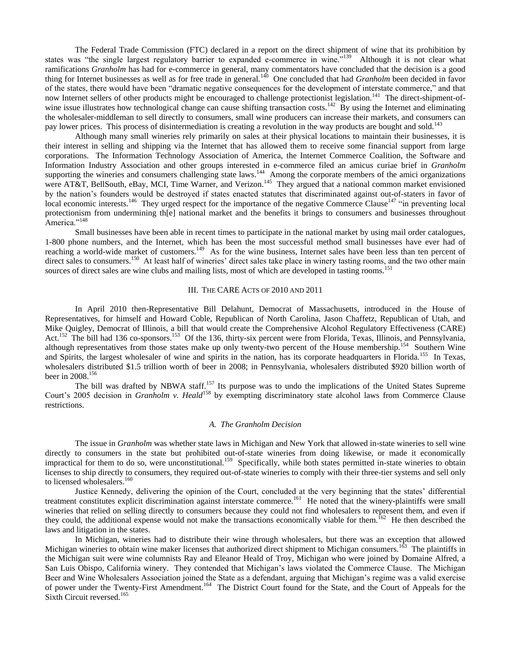The Federal Trade Commission (FTC) declared in a report on the direct shipment of wine that its prohibition by states was "the single largest regulatory barrier to expanded e-commerce in wine."<sup>139</sup> Although it is not clear what ramifications *Granholm* has had for e-commerce in general, many commentators have concluded that the decision is a good thing for Internet businesses as well as for free trade in general.<sup>140</sup> One concluded that had *Granholm* been decided in favor of the states, there would have been "dramatic negative consequences for the development of interstate commerce," and that now Internet sellers of other products might be encouraged to challenge protectionist legislation.<sup>141</sup> The direct-shipment-ofwine issue illustrates how technological change can cause shifting transaction costs.<sup>142</sup> By using the Internet and eliminating the wholesaler-middleman to sell directly to consumers, small wine producers can increase their markets, and consumers can pay lower prices. This process of disintermediation is creating a revolution in the way products are bought and sold.<sup>143</sup>

Although many small wineries rely primarily on sales at their physical locations to maintain their businesses, it is their interest in selling and shipping via the Internet that has allowed them to receive some financial support from large corporations. The Information Technology Association of America, the Internet Commerce Coalition, the Software and Information Industry Association and other groups interested in e-commerce filed an amicus curiae brief in *Granholm* supporting the wineries and consumers challenging state laws.<sup>144</sup> Among the corporate members of the amici organizations were AT&T, BellSouth, eBay, MCI, Time Warner, and Verizon.<sup>145</sup> They argued that a national common market envisioned by the nation"s founders would be destroyed if states enacted statutes that discriminated against out-of-staters in favor of local economic interests.<sup>146</sup> They urged respect for the importance of the negative Commerce Clause<sup>147</sup> "in preventing local protectionism from undermining th[e] national market and the benefits it brings to consumers and businesses throughout America."<sup>148</sup>

Small businesses have been able in recent times to participate in the national market by using mail order catalogues, 1-800 phone numbers, and the Internet, which has been the most successful method small businesses have ever had of reaching a world-wide market of customers.<sup>149</sup> As for the wine business, Internet sales have been less than ten percent of direct sales to consumers.<sup>150</sup> At least half of wineries' direct sales take place in winery tasting rooms, and the two other main sources of direct sales are wine clubs and mailing lists, most of which are developed in tasting rooms.<sup>1</sup>

## III. THE CARE ACTS OF 2010 AND 2011

In April 2010 then-Representative Bill Delahunt, Democrat of Massachusetts, introduced in the House of Representatives, for himself and Howard Coble, Republican of North Carolina, Jason Chaffetz, Republican of Utah, and Mike Quigley, Democrat of Illinois, a bill that would create the Comprehensive Alcohol Regulatory Effectiveness (CARE) Act.<sup>152</sup> The bill had 136 co-sponsors.<sup>153</sup> Of the 136, thirty-six percent were from Florida, Texas, Illinois, and Pennsylvania, although representatives from those states make up only twenty-two percent of the House membership.<sup>154</sup> Southern Wine and Spirits, the largest wholesaler of wine and spirits in the nation, has its corporate headquarters in Florida.<sup>155</sup> In Texas, wholesalers distributed \$1.5 trillion worth of beer in 2008; in Pennsylvania, wholesalers distributed \$920 billion worth of beer in 2008.<sup>156</sup>

The bill was drafted by NBWA staff.<sup>157</sup> Its purpose was to undo the implications of the United States Supreme Court's 2005 decision in *Granholm v. Heald*<sup>158</sup> by exempting discriminatory state alcohol laws from Commerce Clause restrictions.

#### *A. The Granholm Decision*

The issue in *Granholm* was whether state laws in Michigan and New York that allowed in-state wineries to sell wine directly to consumers in the state but prohibited out-of-state wineries from doing likewise, or made it economically impractical for them to do so, were unconstitutional.<sup>159</sup> Specifically, while both states permitted in-state wineries to obtain licenses to ship directly to consumers, they required out-of-state wineries to comply with their three-tier systems and sell only to licensed wholesalers.<sup>160</sup>

Justice Kennedy, delivering the opinion of the Court, concluded at the very beginning that the states" differential treatment constitutes explicit discrimination against interstate commerce.<sup>161</sup> He noted that the winery-plaintiffs were small wineries that relied on selling directly to consumers because they could not find wholesalers to represent them, and even if they could, the additional expense would not make the transactions economically viable for them.<sup>162</sup> He then described the laws and litigation in the states.

In Michigan, wineries had to distribute their wine through wholesalers, but there was an exception that allowed Michigan wineries to obtain wine maker licenses that authorized direct shipment to Michigan consumers.<sup>163</sup> The plaintiffs in the Michigan suit were wine columnists Ray and Eleanor Heald of Troy, Michigan who were joined by Domaine Alfred, a San Luis Obispo, California winery. They contended that Michigan"s laws violated the Commerce Clause. The Michigan Beer and Wine Wholesalers Association joined the State as a defendant, arguing that Michigan"s regime was a valid exercise of power under the Twenty-First Amendment.<sup>164</sup> The District Court found for the State, and the Court of Appeals for the Sixth Circuit reversed.<sup>165</sup>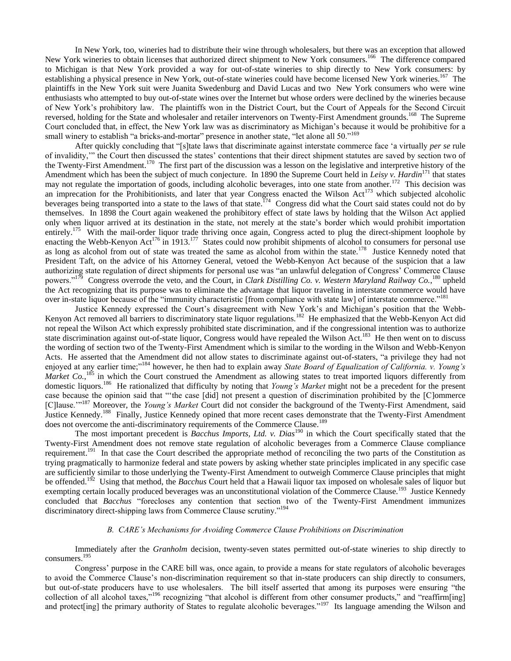In New York, too, wineries had to distribute their wine through wholesalers, but there was an exception that allowed New York wineries to obtain licenses that authorized direct shipment to New York consumers.<sup>166</sup> The difference compared to Michigan is that New York provided a way for out-of-state wineries to ship directly to New York consumers: by establishing a physical presence in New York, out-of-state wineries could have become licensed New York wineries.<sup>167</sup> The plaintiffs in the New York suit were Juanita Swedenburg and David Lucas and two New York consumers who were wine enthusiasts who attempted to buy out-of-state wines over the Internet but whose orders were declined by the wineries because of New York"s prohibitory law. The plaintiffs won in the District Court, but the Court of Appeals for the Second Circuit reversed, holding for the State and wholesaler and retailer intervenors on Twenty-First Amendment grounds.<sup>168</sup> The Supreme Court concluded that, in effect, the New York law was as discriminatory as Michigan"s because it would be prohibitive for a small winery to establish "a bricks-and-mortar" presence in another state, "let alone all 50."<sup>169</sup>

After quickly concluding that "[s]tate laws that discriminate against interstate commerce face "a virtually *per se* rule of invalidity,"" the Court then discussed the states" contentions that their direct shipment statutes are saved by section two of the Twenty-First Amendment.<sup>170</sup> The first part of the discussion was a lesson on the legislative and interpretive history of the Amendment which has been the subject of much conjecture. In 1890 the Supreme Court held in *Leisy v. Hardin*<sup>171</sup> that states may not regulate the importation of goods, including alcoholic beverages, into one state from another.<sup>172</sup> This decision was an imprecation for the Prohibitionists, and later that year Congress enacted the Wilson Act<sup>173</sup> which subjected alcoholic beverages being transported into a state to the laws of that state.<sup>174</sup> Congress did what the Court said states could not do by themselves. In 1898 the Court again weakened the prohibitory effect of state laws by holding that the Wilson Act applied only when liquor arrived at its destination in the state, not merely at the state"s border which would prohibit importation entirely.<sup>175</sup> With the mail-order liquor trade thriving once again, Congress acted to plug the direct-shipment loophole by enacting the Webb-Kenyon Act<sup>176</sup> in 1913.<sup>177</sup> States could now prohibit shipments of alcohol to consumers for personal use as long as alcohol from out of state was treated the same as alcohol from within the state.<sup>178</sup> Justice Kennedy noted that President Taft, on the advice of his Attorney General, vetoed the Webb-Kenyon Act because of the suspicion that a law authorizing state regulation of direct shipments for personal use was "an unlawful delegation of Congress" Commerce Clause powers."<sup>179</sup> Congress overrode the veto, and the Court, in *Clark Distilling Co. v. Western Maryland Railway Co.*,<sup>180</sup> upheld the Act recognizing that its purpose was to eliminate the advantage that liquor traveling in interstate commerce would have over in-state liquor because of the "immunity characteristic [from compliance with state law] of interstate commerce."<sup>181</sup>

Justice Kennedy expressed the Court"s disagreement with New York"s and Michigan"s position that the Webb-Kenyon Act removed all barriers to discriminatory state liquor regulations.<sup>182</sup> He emphasized that the Webb-Kenyon Act did not repeal the Wilson Act which expressly prohibited state discrimination, and if the congressional intention was to authorize state discrimination against out-of-state liquor, Congress would have repealed the Wilson Act.<sup>183</sup> He then went on to discuss the wording of section two of the Twenty-First Amendment which is similar to the wording in the Wilson and Webb-Kenyon Acts. He asserted that the Amendment did not allow states to discriminate against out-of-staters, "a privilege they had not enjoyed at any earlier time;"<sup>184</sup> however, he then had to explain away *State Board of Equalization of California. v. Young's Market Co.*,<sup>185</sup> in which the Court construed the Amendment as allowing states to treat imported liquors differently from domestic liquors.<sup>186</sup> He rationalized that difficulty by noting that *Young's Market* might not be a precedent for the present case because the opinion said that ""the case [did] not present a question of discrimination prohibited by the [C]ommerce [C]lause.""<sup>187</sup> Moreover, the *Young's Market* Court did not consider the background of the Twenty-First Amendment, said Justice Kennedy.<sup>188</sup> Finally, Justice Kennedy opined that more recent cases demonstrate that the Twenty-First Amendment does not overcome the anti-discriminatory requirements of the Commerce Clause.<sup>189</sup>

The most important precedent is *Bacchus Imports, Ltd. v. Dias*<sup>190</sup> in which the Court specifically stated that the Twenty-First Amendment does not remove state regulation of alcoholic beverages from a Commerce Clause compliance requirement.<sup>191</sup> In that case the Court described the appropriate method of reconciling the two parts of the Constitution as trying pragmatically to harmonize federal and state powers by asking whether state principles implicated in any specific case are sufficiently similar to those underlying the Twenty-First Amendment to outweigh Commerce Clause principles that might be offended.<sup>192</sup> Using that method, the *Bacchus* Court held that a Hawaii liquor tax imposed on wholesale sales of liquor but exempting certain locally produced beverages was an unconstitutional violation of the Commerce Clause.<sup>193</sup> Justice Kennedy concluded that *Bacchus* "forecloses any contention that section two of the Twenty-First Amendment immunizes discriminatory direct-shipping laws from Commerce Clause scrutiny."<sup>194</sup>

# *B. CARE's Mechanisms for Avoiding Commerce Clause Prohibitions on Discrimination*

Immediately after the *Granholm* decision, twenty-seven states permitted out-of-state wineries to ship directly to consumers.<sup>195</sup>

Congress" purpose in the CARE bill was, once again, to provide a means for state regulators of alcoholic beverages to avoid the Commerce Clause's non-discrimination requirement so that in-state producers can ship directly to consumers, but out-of-state producers have to use wholesalers. The bill itself asserted that among its purposes were ensuring "the collection of all alcohol taxes,"<sup>196</sup> recognizing "that alcohol is different from other consumer products," and "reaffirm[ing] and protect[ing] the primary authority of States to regulate alcoholic beverages."<sup>197</sup> Its language amending the Wilson and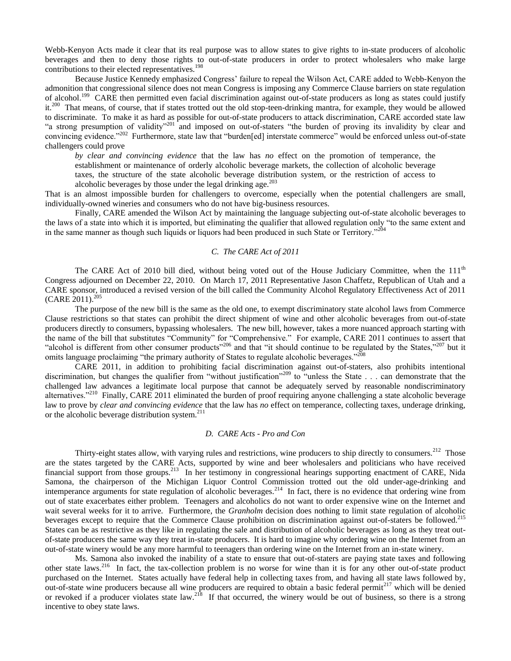Webb-Kenyon Acts made it clear that its real purpose was to allow states to give rights to in-state producers of alcoholic beverages and then to deny those rights to out-of-state producers in order to protect wholesalers who make large contributions to their elected representatives.<sup>198</sup>

Because Justice Kennedy emphasized Congress' failure to repeal the Wilson Act, CARE added to Webb-Kenyon the admonition that congressional silence does not mean Congress is imposing any Commerce Clause barriers on state regulation of alcohol.<sup>199</sup> CARE then permitted even facial discrimination against out-of-state producers as long as states could justify it.<sup>200</sup> That means, of course, that if states trotted out the old stop-teen-drinking mantra, for example, they would be allowed to discriminate. To make it as hard as possible for out-of-state producers to attack discrimination, CARE accorded state law "a strong presumption of validity"<sup>201</sup> and imposed on out-of-staters "the burden of proving its invalidity by clear and convincing evidence."<sup>202</sup> Furthermore, state law that "burden[ed] interstate commerce" would be enforced unless out-of-state challengers could prove

*by clear and convincing evidence* that the law has *no* effect on the promotion of temperance, the establishment or maintenance of orderly alcoholic beverage markets, the collection of alcoholic beverage

taxes, the structure of the state alcoholic beverage distribution system, or the restriction of access to alcoholic beverages by those under the legal drinking age. $^{203}$ 

That is an almost impossible burden for challengers to overcome, especially when the potential challengers are small, individually-owned wineries and consumers who do not have big-business resources.

Finally, CARE amended the Wilson Act by maintaining the language subjecting out-of-state alcoholic beverages to the laws of a state into which it is imported, but eliminating the qualifier that allowed regulation only "to the same extent and in the same manner as though such liquids or liquors had been produced in such State or Territory."<sup>204</sup>

### *C. The CARE Act of 2011*

The CARE Act of 2010 bill died, without being voted out of the House Judiciary Committee, when the  $111<sup>th</sup>$ Congress adjourned on December 22, 2010. On March 17, 2011 Representative Jason Chaffetz, Republican of Utah and a CARE sponsor, introduced a revised version of the bill called the Community Alcohol Regulatory Effectiveness Act of 2011  $(CARE 2011).^{205}$ 

The purpose of the new bill is the same as the old one, to exempt discriminatory state alcohol laws from Commerce Clause restrictions so that states can prohibit the direct shipment of wine and other alcoholic beverages from out-of-state producers directly to consumers, bypassing wholesalers. The new bill, however, takes a more nuanced approach starting with the name of the bill that substitutes "Community" for "Comprehensive." For example, CARE 2011 continues to assert that "alcohol is different from other consumer products"<sup>206</sup> and that "it should continue to be regulated by the States,"<sup>207</sup> but it omits language proclaiming "the primary authority of States to regulate alcoholic beverages."<sup>208</sup>

CARE 2011, in addition to prohibiting facial discrimination against out-of-staters, also prohibits intentional discrimination, but changes the qualifier from "without justification"<sup>209</sup> to "unless the State . . . can demonstrate that the challenged law advances a legitimate local purpose that cannot be adequately served by reasonable nondiscriminatory alternatives."<sup>210</sup> Finally, CARE 2011 eliminated the burden of proof requiring anyone challenging a state alcoholic beverage law to prove by *clear and convincing evidence* that the law has *no* effect on temperance, collecting taxes, underage drinking, or the alcoholic beverage distribution system.<sup>211</sup>

### *D. CARE Acts - Pro and Con*

Thirty-eight states allow, with varying rules and restrictions, wine producers to ship directly to consumers.<sup>212</sup> Those are the states targeted by the CARE Acts, supported by wine and beer wholesalers and politicians who have received financial support from those groups.<sup>213</sup> In her testimony in congressional hearings supporting enactment of CARE, Nida Samona, the chairperson of the Michigan Liquor Control Commission trotted out the old under-age-drinking and intemperance arguments for state regulation of alcoholic beverages.<sup>214</sup> In fact, there is no evidence that ordering wine from out of state exacerbates either problem. Teenagers and alcoholics do not want to order expensive wine on the Internet and wait several weeks for it to arrive. Furthermore, the *Granholm* decision does nothing to limit state regulation of alcoholic beverages except to require that the Commerce Clause prohibition on discrimination against out-of-staters be followed.<sup>215</sup> States can be as restrictive as they like in regulating the sale and distribution of alcoholic beverages as long as they treat outof-state producers the same way they treat in-state producers. It is hard to imagine why ordering wine on the Internet from an out-of-state winery would be any more harmful to teenagers than ordering wine on the Internet from an in-state winery.

Ms. Samona also invoked the inability of a state to ensure that out-of-staters are paying state taxes and following other state laws.<sup>216</sup> In fact, the tax-collection problem is no worse for wine than it is for any other out-of-state product purchased on the Internet. States actually have federal help in collecting taxes from, and having all state laws followed by, out-of-state wine producers because all wine producers are required to obtain a basic federal permit<sup>217</sup> which will be denied or revoked if a producer violates state law.<sup>218</sup> If that occurred, the winery would be out of business, so there is a strong incentive to obey state laws.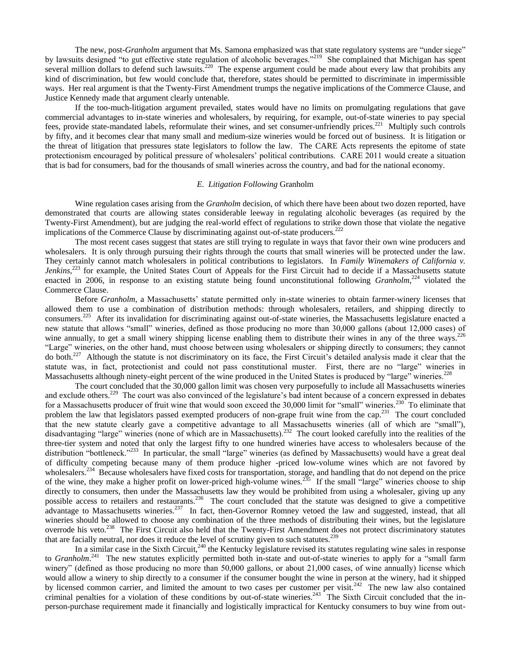The new, post-*Granholm* argument that Ms. Samona emphasized was that state regulatory systems are "under siege" by lawsuits designed "to gut effective state regulation of alcoholic beverages."<sup>219</sup> She complained that Michigan has spent several million dollars to defend such lawsuits.<sup>220</sup> The expense argument could be made about every law that prohibits any kind of discrimination, but few would conclude that, therefore, states should be permitted to discriminate in impermissible ways. Her real argument is that the Twenty-First Amendment trumps the negative implications of the Commerce Clause, and Justice Kennedy made that argument clearly untenable.

If the too-much-litigation argument prevailed, states would have no limits on promulgating regulations that gave commercial advantages to in-state wineries and wholesalers, by requiring, for example, out-of-state wineries to pay special fees, provide state-mandated labels, reformulate their wines, and set consumer-unfriendly prices.<sup>221</sup> Multiply such controls by fifty, and it becomes clear that many small and medium-size wineries would be forced out of business. It is litigation or the threat of litigation that pressures state legislators to follow the law. The CARE Acts represents the epitome of state protectionism encouraged by political pressure of wholesalers" political contributions. CARE 2011 would create a situation that is bad for consumers, bad for the thousands of small wineries across the country, and bad for the national economy.

## *E. Litigation Following* Granholm

Wine regulation cases arising from the *Granholm* decision, of which there have been about two dozen reported, have demonstrated that courts are allowing states considerable leeway in regulating alcoholic beverages (as required by the Twenty-First Amendment), but are judging the real-world effect of regulations to strike down those that violate the negative implications of the Commerce Clause by discriminating against out-of-state producers. $222$ 

The most recent cases suggest that states are still trying to regulate in ways that favor their own wine producers and wholesalers. It is only through pursuing their rights through the courts that small wineries will be protected under the law. They certainly cannot match wholesalers in political contributions to legislators. In *Family Winemakers of California v.*  Jenkins,<sup>223</sup> for example, the United States Court of Appeals for the First Circuit had to decide if a Massachusetts statute enacted in 2006, in response to an existing statute being found unconstitutional following *Granholm*,<sup>224</sup> violated the Commerce Clause.

Before *Granholm*, a Massachusetts' statute permitted only in-state wineries to obtain farmer-winery licenses that allowed them to use a combination of distribution methods: through wholesalers, retailers, and shipping directly to consumers.<sup>225</sup> After its invalidation for discriminating against out-of-state wineries, the Massachusetts legislature enacted a new statute that allows "small" wineries, defined as those producing no more than 30,000 gallons (about 12,000 cases) of wine annually, to get a small winery shipping license enabling them to distribute their wines in any of the three ways.<sup>226</sup> "Large" wineries, on the other hand, must choose between using wholesalers or shipping directly to consumers; they cannot do both.<sup>227</sup> Although the statute is not discriminatory on its face, the First Circuit's detailed analysis made it clear that the statute was, in fact, protectionist and could not pass constitutional muster. First, there are no "large" wineries in Massachusetts although ninety-eight percent of the wine produced in the United States is produced by "large" wineries.<sup>228</sup>

The court concluded that the 30,000 gallon limit was chosen very purposefully to include all Massachusetts wineries and exclude others.<sup>229</sup> The court was also convinced of the legislature's bad intent because of a concern expressed in debates for a Massachusetts producer of fruit wine that would soon exceed the 30,000 limit for "small" wineries.<sup>230</sup> To eliminate that problem the law that legislators passed exempted producers of non-grape fruit wine from the cap.<sup>231</sup> The court concluded that the new statute clearly gave a competitive advantage to all Massachusetts wineries (all of which are "small"), disadvantaging "large" wineries (none of which are in Massachusetts).<sup>232</sup> The court looked carefully into the realities of the three-tier system and noted that only the largest fifty to one hundred wineries have access to wholesalers because of the distribution "bottleneck."<sup>233</sup> In particular, the small "large" wineries (as defined by Massachusetts) would have a great deal of difficulty competing because many of them produce higher -priced low-volume wines which are not favored by wholesalers.<sup>234</sup> Because wholesalers have fixed costs for transportation, storage, and handling that do not depend on the price of the wine, they make a higher profit on lower-priced high-volume wines.<sup>235</sup> If the small "large" wineries choose to ship directly to consumers, then under the Massachusetts law they would be prohibited from using a wholesaler, giving up any possible access to retailers and restaurants.<sup>236</sup> The court concluded that the statute was designed to give a competitive advantage to Massachusetts wineries.<sup>237</sup> In fact, then-Governor Romney vetoed the law and suggested, instead, that all wineries should be allowed to choose any combination of the three methods of distributing their wines, but the legislature overrode his veto.<sup>238</sup> The First Circuit also held that the Twenty-First Amendment does not protect discriminatory statutes that are facially neutral, nor does it reduce the level of scrutiny given to such statutes.<sup>239</sup>

In a similar case in the Sixth Circuit,<sup>240</sup> the Kentucky legislature revised its statutes regulating wine sales in response to *Granholm*.<sup>241</sup> The new statutes explicitly permitted both in-state and out-of-state wineries to apply for a "small farm winery" (defined as those producing no more than 50,000 gallons, or about 21,000 cases, of wine annually) license which would allow a winery to ship directly to a consumer if the consumer bought the wine in person at the winery, had it shipped by licensed common carrier, and limited the amount to two cases per customer per visit.<sup>242</sup> The new law also contained criminal penalties for a violation of these conditions by out-of-state wineries.<sup>243</sup> The Sixth Circuit concluded that the inperson-purchase requirement made it financially and logistically impractical for Kentucky consumers to buy wine from out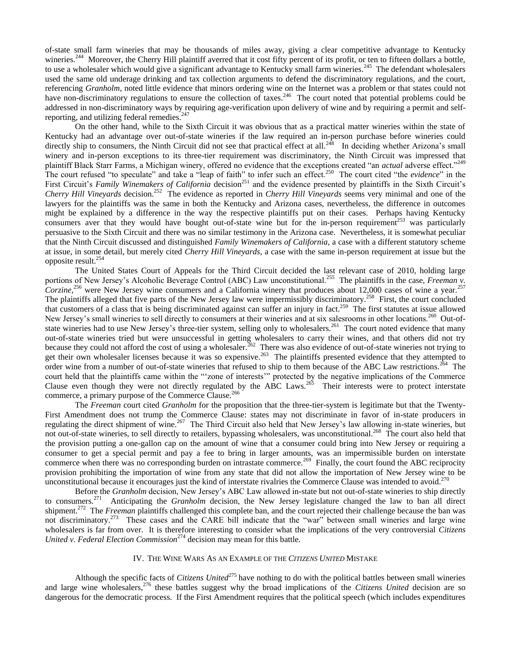of-state small farm wineries that may be thousands of miles away, giving a clear competitive advantage to Kentucky wineries.<sup>244</sup> Moreover, the Cherry Hill plaintiff averred that it cost fifty percent of its profit, or ten to fifteen dollars a bottle, to use a wholesaler which would give a significant advantage to Kentucky small farm wineries.<sup>245</sup> The defendant wholesalers used the same old underage drinking and tax collection arguments to defend the discriminatory regulations, and the court, referencing *Granholm*, noted little evidence that minors ordering wine on the Internet was a problem or that states could not have non-discriminatory regulations to ensure the collection of taxes.<sup>246</sup> The court noted that potential problems could be addressed in non-discriminatory ways by requiring age-verification upon delivery of wine and by requiring a permit and selfreporting, and utilizing federal remedies. $247$ 

On the other hand, while to the Sixth Circuit it was obvious that as a practical matter wineries within the state of Kentucky had an advantage over out-of-state wineries if the law required an in-person purchase before wineries could directly ship to consumers, the Ninth Circuit did not see that practical effect at all.<sup>248</sup> In deciding whether Arizona's small winery and in-person exceptions to its three-tier requirement was discriminatory, the Ninth Circuit was impressed that plaintiff Black Starr Farms, a Michigan winery, offered no evidence that the exceptions created "an *actual* adverse effect."<sup>249</sup> The court refused "to speculate" and take a "leap of faith" to infer such an effect.<sup>250</sup> The court cited "the *evidence*" in the First Circuit's *Family Winemakers of California* decision<sup>251</sup> and the evidence presented by plaintiffs in the Sixth Circuit's *Cherry Hill Vineyards* decision.<sup>252</sup> The evidence as reported in *Cherry Hill Vineyards* seems very minimal and one of the lawyers for the plaintiffs was the same in both the Kentucky and Arizona cases, nevertheless, the difference in outcomes might be explained by a difference in the way the respective plaintiffs put on their cases. Perhaps having Kentucky consumers aver that they would have bought out-of-state wine but for the in-person requirement<sup>253</sup> was particularly persuasive to the Sixth Circuit and there was no similar testimony in the Arizona case. Nevertheless, it is somewhat peculiar that the Ninth Circuit discussed and distinguished *Family Winemakers of California*, a case with a different statutory scheme at issue, in some detail, but merely cited *Cherry Hill Vineyards*, a case with the same in-person requirement at issue but the opposite result.<sup>254</sup>

The United States Court of Appeals for the Third Circuit decided the last relevant case of 2010, holding large portions of New Jersey's Alcoholic Beverage Control (ABC) Law unconstitutional.<sup>255</sup> The plaintiffs in the case, *Freeman v*. *Corzine,*<sup>256</sup> were New Jersey wine consumers and a California winery that produces about 12,000 cases of wine a year.<sup>257</sup> The plaintiffs alleged that five parts of the New Jersey law were impermissibly discriminatory.<sup>258</sup> First, the court concluded that customers of a class that is being discriminated against can suffer an injury in fact.<sup>259</sup> The first statutes at issue allowed New Jersey's small wineries to sell directly to consumers at their wineries and at six salesrooms in other locations.<sup>260</sup> Out-ofstate wineries had to use New Jersey's three-tier system, selling only to wholesalers.<sup>261</sup> The court noted evidence that many out-of-state wineries tried but were unsuccessful in getting wholesalers to carry their wines, and that others did not try because they could not afford the cost of using a wholesaler.<sup>262</sup> There was also evidence of out-of-state wineries not trying to get their own wholesaler licenses because it was so expensive.<sup>263</sup> The plaintiffs presented evidence that they attempted to order wine from a number of out-of-state wineries that refused to ship to them because of the ABC Law restrictions.<sup>264</sup> The court held that the plaintiffs came within the ""zone of interests"" protected by the negative implications of the Commerce Clause even though they were not directly regulated by the ABC Laws.<sup>265</sup> Their interests were to protect interstate commerce, a primary purpose of the Commerce Clause.<sup>266</sup>

The *Freeman* court cited *Granholm* for the proposition that the three-tier-system is legitimate but that the Twenty-First Amendment does not trump the Commerce Clause: states may not discriminate in favor of in-state producers in regulating the direct shipment of wine.<sup>267</sup> The Third Circuit also held that New Jersey's law allowing in-state wineries, but not out-of-state wineries, to sell directly to retailers, bypassing wholesalers, was unconstitutional.<sup>268</sup> The court also held that the provision putting a one-gallon cap on the amount of wine that a consumer could bring into New Jersey or requiring a consumer to get a special permit and pay a fee to bring in larger amounts, was an impermissible burden on interstate commerce when there was no corresponding burden on intrastate commerce.<sup>269</sup> Finally, the court found the ABC reciprocity provision prohibiting the importation of wine from any state that did not allow the importation of New Jersey wine to be unconstitutional because it encourages just the kind of interstate rivalries the Commerce Clause was intended to avoid. $270$ 

Before the *Granholm* decision, New Jersey"s ABC Law allowed in-state but not out-of-state wineries to ship directly to consumers.<sup>271</sup> Anticipating the *Granholm* decision, the New Jersey legislature changed the law to ban all direct shipment.<sup>272</sup> The *Freeman* plaintiffs challenged this complete ban, and the court rejected their challenge because the ban was not discriminatory.<sup>273</sup> These cases and the CARE bill indicate that the "war" between small wineries and large wine wholesalers is far from over. It is therefore interesting to consider what the implications of the very controversial *Citizens United v. Federal Election Commission*<sup>274</sup> decision may mean for this battle.

## IV. THE WINE WARS AS AN EXAMPLE OF THE *CITIZENS UNITED* MISTAKE

Although the specific facts of *Citizens United*<sup>275</sup> have nothing to do with the political battles between small wineries and large wine wholesalers,<sup>276</sup> these battles suggest why the broad implications of the *Citizens United* decision are so dangerous for the democratic process. If the First Amendment requires that the political speech (which includes expenditures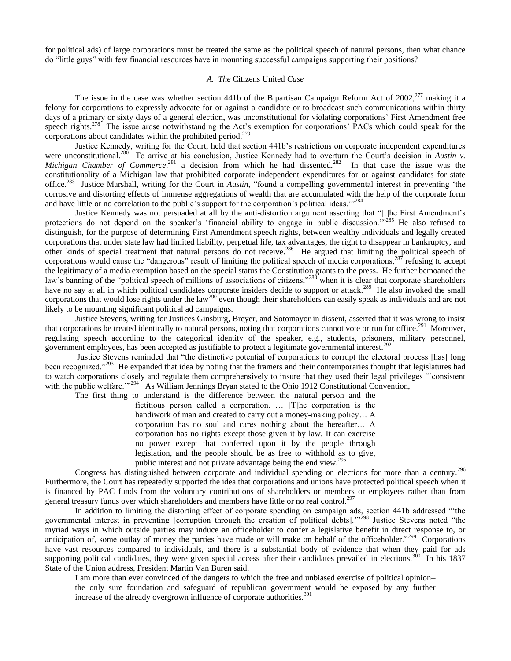for political ads) of large corporations must be treated the same as the political speech of natural persons, then what chance do "little guys" with few financial resources have in mounting successful campaigns supporting their positions?

## *A. The* Citizens United *Case*

The issue in the case was whether section 441b of the Bipartisan Campaign Reform Act of  $2002$ ,  $277$  making it a felony for corporations to expressly advocate for or against a candidate or to broadcast such communications within thirty days of a primary or sixty days of a general election, was unconstitutional for violating corporations' First Amendment free speech rights.<sup>278</sup> The issue arose notwithstanding the Act's exemption for corporations' PACs which could speak for the corporations about candidates within the prohibited period.<sup>279</sup>

Justice Kennedy, writing for the Court, held that section 441b"s restrictions on corporate independent expenditures were unconstitutional.<sup>280</sup> To arrive at his conclusion, Justice Kennedy had to overturn the Court's decision in *Austin v*. Michigan Chamber of Commerce,<sup>281</sup> a decision from which he had dissented.<sup>282</sup> In that case the issue was the constitutionality of a Michigan law that prohibited corporate independent expenditures for or against candidates for state office.<sup>283</sup> Justice Marshall, writing for the Court in *Austin*, "found a compelling governmental interest in preventing 'the corrosive and distorting effects of immense aggregations of wealth that are accumulated with the help of the corporate form and have little or no correlation to the public's support for the corporation's political ideas."<sup>284</sup>

Justice Kennedy was not persuaded at all by the anti-distortion argument asserting that "[t]he First Amendment"s protections do not depend on the speaker's 'financial ability to engage in public discussion."<sup>5285</sup> He also refused to distinguish, for the purpose of determining First Amendment speech rights, between wealthy individuals and legally created corporations that under state law had limited liability, perpetual life, tax advantages, the right to disappear in bankruptcy, and other kinds of special treatment that natural persons do not receive.<sup>286</sup> He argued that limiting the political speech of corporations would cause the "dangerous" result of limiting the political speech of media corporations,<sup>287</sup> refusing to accept the legitimacy of a media exemption based on the special status the Constitution grants to the press. He further bemoaned the law's banning of the "political speech of millions of associations of citizens,"<sup>288</sup> when it is clear that corporate shareholders have no say at all in which political candidates corporate insiders decide to support or attack.<sup>289</sup> He also invoked the small corporations that would lose rights under the law<sup>290</sup> even though their shareholders can easily speak as individuals and are not likely to be mounting significant political ad campaigns.

Justice Stevens, writing for Justices Ginsburg, Breyer, and Sotomayor in dissent, asserted that it was wrong to insist that corporations be treated identically to natural persons, noting that corporations cannot vote or run for office.<sup>291</sup> Moreover, regulating speech according to the categorical identity of the speaker, e.g., students, prisoners, military personnel, government employees, has been accepted as justifiable to protect a legitimate governmental interest.<sup>292</sup>

Justice Stevens reminded that "the distinctive potential of corporations to corrupt the electoral process [has] long been recognized."<sup>293</sup> He expanded that idea by noting that the framers and their contemporaries thought that legislatures had to watch corporations closely and regulate them comprehensively to insure that they used their legal privileges ""consistent with the public welfare."<sup>294</sup> As William Jennings Bryan stated to the Ohio 1912 Constitutional Convention,

The first thing to understand is the difference between the natural person and the fictitious person called a corporation. … [T]he corporation is the handiwork of man and created to carry out a money-making policy... A corporation has no soul and cares nothing about the hereafter… A corporation has no rights except those given it by law. It can exercise no power except that conferred upon it by the people through legislation, and the people should be as free to withhold as to give, public interest and not private advantage being the end view.<sup>295</sup>

Congress has distinguished between corporate and individual spending on elections for more than a century.<sup>296</sup> Furthermore, the Court has repeatedly supported the idea that corporations and unions have protected political speech when it is financed by PAC funds from the voluntary contributions of shareholders or members or employees rather than from general treasury funds over which shareholders and members have little or no real control.<sup>297</sup>

In addition to limiting the distorting effect of corporate spending on campaign ads, section 441b addressed ""the governmental interest in preventing [corruption through the creation of political debts].""<sup>298</sup> Justice Stevens noted "the myriad ways in which outside parties may induce an officeholder to confer a legislative benefit in direct response to, or anticipation of, some outlay of money the parties have made or will make on behalf of the officeholder."<sup>299</sup> Corporations have vast resources compared to individuals, and there is a substantial body of evidence that when they paid for ads supporting political candidates, they were given special access after their candidates prevailed in elections.<sup>300</sup> In his 1837 State of the Union address, President Martin Van Buren said,

I am more than ever convinced of the dangers to which the free and unbiased exercise of political opinion– the only sure foundation and safeguard of republican government–would be exposed by any further increase of the already overgrown influence of corporate authorities.<sup>301</sup>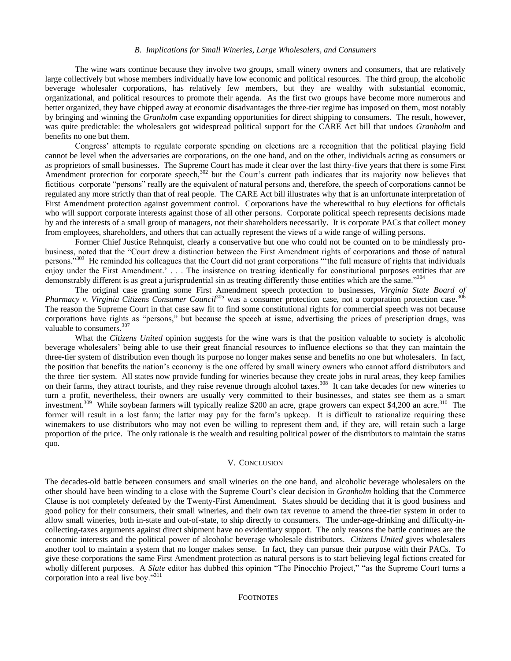### *B. Implications for Small Wineries, Large Wholesalers, and Consumers*

The wine wars continue because they involve two groups, small winery owners and consumers, that are relatively large collectively but whose members individually have low economic and political resources. The third group, the alcoholic beverage wholesaler corporations, has relatively few members, but they are wealthy with substantial economic, organizational, and political resources to promote their agenda. As the first two groups have become more numerous and better organized, they have chipped away at economic disadvantages the three-tier regime has imposed on them, most notably by bringing and winning the *Granholm* case expanding opportunities for direct shipping to consumers. The result, however, was quite predictable: the wholesalers got widespread political support for the CARE Act bill that undoes *Granholm* and benefits no one but them.

Congress" attempts to regulate corporate spending on elections are a recognition that the political playing field cannot be level when the adversaries are corporations, on the one hand, and on the other, individuals acting as consumers or as proprietors of small businesses. The Supreme Court has made it clear over the last thirty-five years that there is some First Amendment protection for corporate speech,<sup>302</sup> but the Court's current path indicates that its majority now believes that fictitious corporate "persons" really are the equivalent of natural persons and, therefore, the speech of corporations cannot be regulated any more strictly than that of real people. The CARE Act bill illustrates why that is an unfortunate interpretation of First Amendment protection against government control. Corporations have the wherewithal to buy elections for officials who will support corporate interests against those of all other persons. Corporate political speech represents decisions made by and the interests of a small group of managers, not their shareholders necessarily. It is corporate PACs that collect money from employees, shareholders, and others that can actually represent the views of a wide range of willing persons.

Former Chief Justice Rehnquist, clearly a conservative but one who could not be counted on to be mindlessly probusiness, noted that the "Court drew a distinction between the First Amendment rights of corporations and those of natural persons."<sup>303</sup> He reminded his colleagues that the Court did not grant corporations "the full measure of rights that individuals enjoy under the First Amendment.'... The insistence on treating identically for constitutional purposes entities that are demonstrably different is as great a jurisprudential sin as treating differently those entities which are the same."304

The original case granting some First Amendment speech protection to businesses, *Virginia State Board of Pharmacy v. Virginia Citizens Consumer Council*<sup>305</sup> was a consumer protection case, not a corporation protection case.<sup>306</sup> The reason the Supreme Court in that case saw fit to find some constitutional rights for commercial speech was not because corporations have rights as "persons," but because the speech at issue, advertising the prices of prescription drugs, was valuable to consumers.  $307$ 

What the *Citizens United* opinion suggests for the wine wars is that the position valuable to society is alcoholic beverage wholesalers" being able to use their great financial resources to influence elections so that they can maintain the three-tier system of distribution even though its purpose no longer makes sense and benefits no one but wholesalers. In fact, the position that benefits the nation"s economy is the one offered by small winery owners who cannot afford distributors and the three–tier system. All states now provide funding for wineries because they create jobs in rural areas, they keep families on their farms, they attract tourists, and they raise revenue through alcohol taxes.<sup>308</sup> It can take decades for new wineries to turn a profit, nevertheless, their owners are usually very committed to their businesses, and states see them as a smart investment.<sup>309</sup> While soybean farmers will typically realize \$200 an acre, grape growers can expect \$4,200 an acre.<sup>310</sup> The former will result in a lost farm; the latter may pay for the farm"s upkeep. It is difficult to rationalize requiring these winemakers to use distributors who may not even be willing to represent them and, if they are, will retain such a large proportion of the price. The only rationale is the wealth and resulting political power of the distributors to maintain the status quo.

#### V. CONCLUSION

The decades-old battle between consumers and small wineries on the one hand, and alcoholic beverage wholesalers on the other should have been winding to a close with the Supreme Court"s clear decision in *Granholm* holding that the Commerce Clause is not completely defeated by the Twenty-First Amendment. States should be deciding that it is good business and good policy for their consumers, their small wineries, and their own tax revenue to amend the three-tier system in order to allow small wineries, both in-state and out-of-state, to ship directly to consumers. The under-age-drinking and difficulty-incollecting-taxes arguments against direct shipment have no evidentiary support. The only reasons the battle continues are the economic interests and the political power of alcoholic beverage wholesale distributors. *Citizens United* gives wholesalers another tool to maintain a system that no longer makes sense. In fact, they can pursue their purpose with their PACs. To give these corporations the same First Amendment protection as natural persons is to start believing legal fictions created for wholly different purposes. A *Slate* editor has dubbed this opinion "The Pinocchio Project," "as the Supreme Court turns a corporation into a real live boy."<sup>311</sup>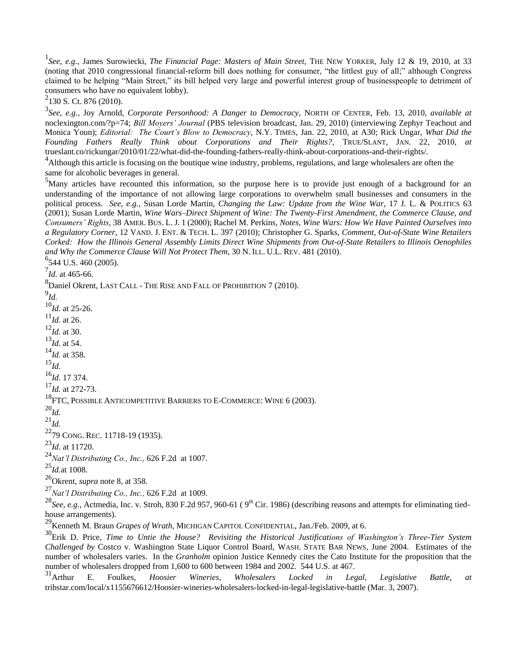1 *See, e.g.*, James Surowiecki, *The Financial Page: Masters of Main Street*, THE NEW YORKER, July 12 & 19, 2010, at 33 (noting that 2010 congressional financial-reform bill does nothing for consumer, "the littlest guy of all;" although Congress claimed to be helping "Main Street," its bill helped very large and powerful interest group of businesspeople to detriment of consumers who have no equivalent lobby).

 $2$ 130 S. Ct. 876 (2010).

3 *See, e.g.,* Joy Arnold, *Corporate Personhood: A Danger to Democracy*, NORTH OF CENTER, Feb. 13, 2010, *available at*  noclexington.com/?p=74; *Bill Moyers' Journal* (PBS television broadcast, Jan. 29, 2010) (interviewing Zephyr Teachout and Monica Youn); *Editorial: The Court's Blow to Democracy*, N.Y. TIMES, Jan. 22, 2010, at A30; Rick Ungar, *What Did the Founding Fathers Really Think about Corporations and Their Rights?*, TRUE/SLANT, JAN. 22, 2010, *at* trueslant.co/rickungar/2010/01/22/what-did-the-founding-fathers-really-think-about-corporations-and-their-rights/.

<sup>4</sup> Although this article is focusing on the boutique wine industry, problems, regulations, and large wholesalers are often the same for alcoholic beverages in general.

<sup>5</sup>Many articles have recounted this information, so the purpose here is to provide just enough of a background for an understanding of the importance of not allowing large corporations to overwhelm small businesses and consumers in the political process. *See, e.g.,* Susan Lorde Martin, *Changing the Law: Update from the Wine War*, 17 J. L. & POLITICS 63 (2001); Susan Lorde Martin, *Wine Wars–Direct Shipment of Wine: The Twenty-First Amendment, the Commerce Clause, and Consumers' Rights*, 38 AMER. BUS. L. J. 1 (2000); Rachel M. Perkins, *Notes, Wine Wars: How We Have Painted Ourselves into a Regulatory Corner*, 12 VAND. J. ENT. & TECH. L. 397 (2010); Christopher G. Sparks, *Comment, Out-of-State Wine Retailers Corked: How the Illinois General Assembly Limits Direct Wine Shipments from Out-of-State Retailers to Illinois Oenophiles and Why the Commerce Clause Will Not Protect Them*, 30 N. ILL. U.L. REV. 481 (2010).

<sup>6</sup>544 U.S. 460 (2005).

 $^{7}$ *Id.* at 465-66.

 $^8$ Daniel Okrent, LAST CALL - THE RISE AND FALL OF PROHIBITION 7 (2010).

9 *Id.*

<sup>10</sup>*Id.* at 25-26.

 $^{11}$ *Id.* at 26.

<sup>12</sup>*Id.* at 30.

<sup>13</sup>*Id.* at 54.

<sup>14</sup>*Id.* at 358.

<sup>15</sup>*Id.*

<sup>16</sup>*Id.* 17 374.

<sup>17</sup>*Id.* at 272-73.

<sup>18</sup>FTC, POSSIBLE ANTICOMPETITIVE BARRIERS TO E-COMMERCE: WINE 6 (2003).

<sup>20</sup>*Id.*

<sup>21</sup>*Id.*

<sup>22</sup>79 CONG. REC. 11718-19 (1935).

<sup>23</sup>*Id*. at 11720.

<sup>24</sup>*Nat'l Distributing Co., Inc.,* 626 F.2d at 1007.

<sup>25</sup>*Id.*at 1008.

<sup>26</sup>Okrent, *supra* note 8, at 358.

<sup>27</sup>*Nat'l Distributing Co., Inc.,* 626 F.2d at 1009.

<sup>28</sup>See, e.g., Actmedia, Inc. v. Stroh, 830 F.2d 957, 960-61 (9<sup>th</sup> Cir. 1986) (describing reasons and attempts for eliminating tiedhouse arrangements).

<sup>29</sup>Kenneth M. Braun *Grapes of Wrath*, MICHIGAN CAPITOL CONFIDENTIAL, Jan./Feb. 2009, at 6.

<sup>30</sup>Erik D. Price, *Time to Untie the House? Revisiting the Historical Justifications of Washington's Three-Tier System Challenged by* Costco v. Washington State Liquor Control Board, WASH. STATE BAR NEWS, June 2004. Estimates of the number of wholesalers varies. In the *Granholm* opinion Justice Kennedy cites the Cato Institute for the proposition that the number of wholesalers dropped from 1,600 to 600 between 1984 and 2002. 544 U.S. at 467.

<sup>31</sup>Arthur E. Foulkes, *Hoosier Wineries, Wholesalers Locked in Legal, Legislative Battle*, *at* tribstar.com/local/x1155676612/Hoosier-wineries-wholesalers-locked-in-legal-legislative-battle (Mar. 3, 2007).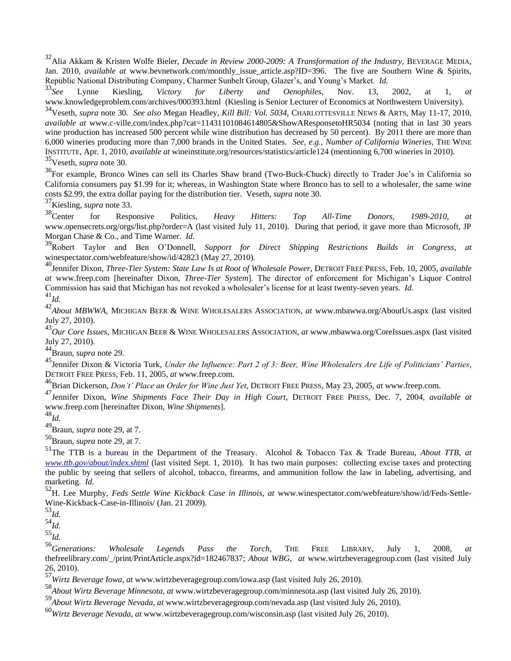<sup>32</sup>Alia Akkam & Kristen Wolfe Bieler, *Decade in Review 2000-2009: A Transformation of the Industry*, BEVERAGE MEDIA, Jan. 2010, *available at* www.bevnetwork.com/monthly issue article.asp?ID=396. The five are Southern Wine & Spirits, Republic National Distributing Company, Charmer Sunbelt Group, Glazer's, and Young's Market. *Id.*<br><sup>33</sup>See Lynne Kiesling. *Victory for Liberty and Oenophiles*, Nov. 13,

<sup>33</sup>*See* Lynne Kiesling, *Victory for Liberty and Oenophiles*, Nov. 13, 2002, at 1, *at* www.knowledgeproblem.com/archives/000393.html (Kiesling is Senior Lecturer of Economics at Northwestern University).

<sup>34</sup>Veseth, *supra* note 30. *See also* Megan Headley, *Kill Bill: Vol. 5034*, CHARLOTTESVILLE NEWS & ARTS, May 11-17, 2010, *available at* www.c-ville.com/index.php?cat=11431101084614805&ShowAResponsetoHR5034 (noting that in last 30 years wine production has increased 500 percent while wine distribution has decreased by 50 percent). By 2011 there are more than 6,000 wineries producing more than 7,000 brands in the United States. *See, e.g., Number of California Wineries*, THE WINE INSTITUTE, Apr. 1, 2010, *available at* wineinstitute.org/resources/statistics/article124 (mentioning 6,700 wineries in 2010). <sup>35</sup>Veseth, *supra* note 30.

<sup>36</sup>For example, Bronco Wines can sell its Charles Shaw brand (Two-Buck-Chuck) directly to Trader Joe's in California so California consumers pay \$1.99 for it; whereas, in Washington State where Bronco has to sell to a wholesaler, the same wine costs \$2.99, the extra dollar paying for the distribution tier. Veseth, *supra* note 30.

 $^{37}$ Kiesling, *supra* note 33.<br> $^{38}$ Center for Respo

<sup>38</sup>Center for Responsive Politics, *Heavy Hitters: Top All-Time Donors, 1989-2010*, *at* www.opensecrets.org/orgs/list.php?order=A (last visited July 11, 2010). During that period, it gave more than Microsoft, JP Morgan Chase & Co., and Time Warner. *Id.*

<sup>39</sup>Robert Taylor and Ben O"Donnell, *Support for Direct Shipping Restrictions Builds in Congress*, *at* winespectator.com/webfeature/show/id/42823 (May 27, 2010).

<sup>40</sup>Jennifer Dixon, *Three-Tier System: State Law Is at Root of Wholesale Power*, DETROIT FREE PRESS, Feb. 10, 2005, *available at* www.freep.com [hereinafter Dixon, *Three-Tier System*]. The director of enforcement for Michigan"s Liquor Control Commission has said that Michigan has not revoked a wholesaler"s license for at least twenty-seven years. *Id.* <sup>41</sup>*Id.*

42<br>About MBWWA, MICHIGAN BEER & WINE WHOLESALERS ASSOCIATION, *at* www.mbawwa.org/AboutUs.aspx (last visited July 27, 2010).

<sup>43</sup>*Our Core Issues*, MICHIGAN BEER & WINE WHOLESALERS ASSOCIATION, *at* www.mbawwa.org/CoreIssues.aspx (last visited July 27, 2010).

<sup>44</sup>Braun, *supra* note 29.

<sup>45</sup>Jennifer Dixon & Victoria Turk, *Under the Influence: Part 2 of 3: Beer, Wine Wholesalers Are Life of Politicians' Parties*, DETROIT FREE PRESS, Feb. 11, 2005, *at* www.freep.com.

<sup>46</sup>Brian Dickerson, *Don't' Place an Order for Wine Just Yet*, DETROIT FREE PRESS, May 23, 2005, *at* www.freep.com.

<sup>47</sup>Jennifer Dixon, *Wine Shipments Face Their Day in High Court*, DETROIT FREE PRESS, Dec. 7, 2004, *available at* www.freep.com [hereinafter Dixon, *Wine Shipments*].

<sup>48</sup>*Id.*

<sup>49</sup>Braun, *supra* note 29, at 7.

<sup>50</sup>Braun, *supra* note 29, at 7.

<sup>51</sup>The TTB is a bureau in the Department of the Treasury. Alcohol & Tobacco Tax & Trade Bureau, *About TTB, at [www.ttb.gov/about/index.shtml](http://www.ttb.gov/about/index.shtml)* (last visited Sept. 1, 2010). It has two main purposes: collecting excise taxes and protecting the public by seeing that sellers of alcohol, tobacco, firearms, and ammunition follow the law in labeling, advertising, and marketing. *Id.*

<sup>52</sup>H. Lee Murphy, *Feds Settle Wine Kickback Case in Illinois*, *at* www.winespectator.com/webfeature/show/id/Feds-Settle-Wine-Kickback-Case-in-Illinois/ (Jan. 21 2009).

<sup>54</sup>*Id.*

<sup>55</sup>*Id.*

<sup>56</sup>*Generations: Wholesale Legends Pass the Torch*, THE FREE LIBRARY, July 1, 2008, *at* thefreelibrary.com/\_/print/PrintArticle.aspx?id=182467837; *About WBG*, *at* www.wirtzbeveragegroup.com (last visited July 26, 2010).

<sup>57</sup>*Wirtz Beverage Iowa*, *at* www.wirtzbeveragegroup.com/iowa.asp (last visited July 26, 2010).

<sup>58</sup>*About Wirtz Beverage Minnesota*, *at* www.wirtzbeveragegroup.com/minnesota.asp (last visited July 26, 2010).

<sup>59</sup>*About Wirtz Beverage Nevada*, *at* www.wirtzbeveragegroup.com/nevada.asp (last visited July 26, 2010).

<sup>60</sup>*Wirtz Beverage Nevada*, *at* www.wirtzbeveragegroup.com/wisconsin.asp (last visited July 26, 2010).

<sup>53</sup>*Id.*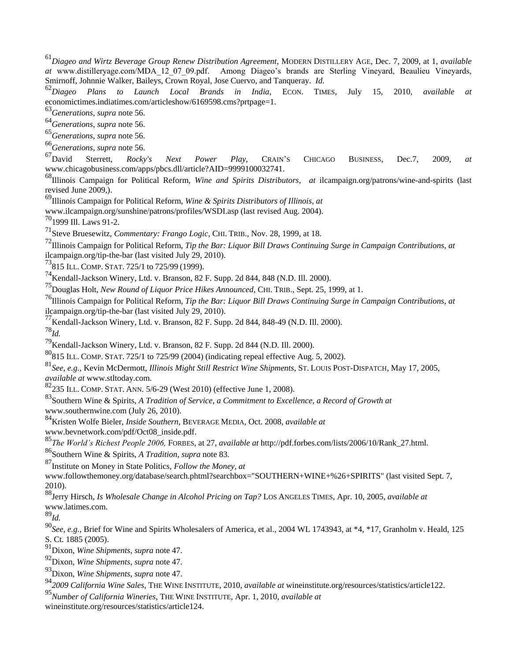<sup>61</sup>*Diageo and Wirtz Beverage Group Renew Distribution Agreement*, MODERN DISTILLERY AGE, Dec. 7, 2009, at 1, *available at* www.distilleryage.com/MDA\_12\_07\_09.pdf. Among Diageo's brands are Sterling Vineyard, Beaulieu Vineyards, Smirnoff, Johnnie Walker, Baileys, Crown Royal, Jose Cuervo, and Tanqueray. *Id.*

<sup>62</sup>Diageo Plans to Launch Local Brands in India, ECON. TIMES, July 15, 2010, available economictimes.indiatimes.com/articleshow/6169598.cms?prtpage=1.

<sup>63</sup>*Generations*, *supra* note 56.

<sup>64</sup>*Generations*, *supra* note 56.

<sup>65</sup>*Generations*, *supra* note 56.

<sup>66</sup>*Generations*, *supra* note 56.

<sup>67</sup>David Sterrett, *Rocky's Next Power Play*, CRAIN"S CHICAGO BUSINESS, Dec.7, 2009, *at* www.chicagobusiness.com/apps/pbcs.dll/article?AID=9999100032741.

<sup>68</sup>Illinois Campaign for Political Reform, *Wine and Spirits Distributors*, *at* ilcampaign.org/patrons/wine-and-spirits (last revised June 2009,).

<sup>69</sup>Illinois Campaign for Political Reform, *Wine & Spirits Distributors of Illinois, at*

www.ilcampaign.org/sunshine/patrons/profiles/WSDI.asp (last revised Aug. 2004).

70<sub>1999</sub> Ill. Laws 91-2.

<sup>71</sup>Steve Bruesewitz, *Commentary: Frango Logic*, CHI. TRIB., Nov. 28, 1999, at 18.

<sup>72</sup>Illinois Campaign for Political Reform, *Tip the Bar: Liquor Bill Draws Continuing Surge in Campaign Contributions*, *at* ilcampaign.org/tip-the-bar (last visited July 29, 2010).

<sup>73</sup>815 ILL. COMP. STAT. 725/1 to 725/99 (1999).

<sup>74</sup>Kendall-Jackson Winery, Ltd. v. Branson, 82 F. Supp. 2d 844, 848 (N.D. Ill. 2000).

<sup>75</sup>Douglas Holt, *New Round of Liquor Price Hikes Announced*, CHI. TRIB., Sept. 25, 1999, at 1.

<sup>76</sup>Illinois Campaign for Political Reform, *Tip the Bar: Liquor Bill Draws Continuing Surge in Campaign Contributions*, *at* ilcampaign.org/tip-the-bar (last visited July 29, 2010).

 $^{77}$ Kendall-Jackson Winery, Ltd. v. Branson, 82 F. Supp. 2d 844, 848-49 (N.D. Ill. 2000).

<sup>78</sup>*Id.*

<sup>79</sup>Kendall-Jackson Winery, Ltd. v. Branson, 82 F. Supp. 2d 844 (N.D. Ill. 2000).

<sup>80</sup>815 ILL. COMP. STAT. 725/1 to 725/99 (2004) (indicating repeal effective Aug. 5, 2002).

<sup>81</sup>*See, e.g.,* Kevin McDermott, *Illinois Might Still Restrict Wine Shipments*, ST. LOUIS POST-DISPATCH, May 17, 2005, *available at* www.stltoday.com.

 $\frac{82}{235}$  ILL. COMP. STAT. ANN. 5/6-29 (West 2010) (effective June 1, 2008).

<sup>83</sup>Southern Wine & Spirits, *A Tradition of Service, a Commitment to Excellence, a Record of Growth at* www.southernwine.com (July 26, 2010).

<sup>84</sup>Kristen Wolfe Bieler, *Inside Southern*, BEVERAGE MEDIA, Oct. 2008, *available at*

www.bevnetwork.com/pdf/Oct08\_inside.pdf.

<sup>85</sup>*The World's Richest People 2006,* FORBES, at 27, *available at* http://pdf.forbes.com/lists/2006/10/Rank\_27.html.

<sup>86</sup>Southern Wine & Spirits, *A Tradition, supra* note 83.

<sup>87</sup>Institute on Money in State Politics, *Follow the Money, at*

www.followthemoney.org/database/search.phtml?searchbox="SOUTHERN+WINE+%26+SPIRITS" (last visited Sept. 7, 2010).

<sup>88</sup>Jerry Hirsch, *Is Wholesale Change in Alcohol Pricing on Tap?* LOS ANGELES TIMES, Apr. 10, 2005, *available at* www.latimes.com.

<sup>89</sup>*Id.*

<sup>90</sup>*See, e.g.,* Brief for Wine and Spirits Wholesalers of America, et al., 2004 WL 1743943, at \*4, \*17, Granholm v. Heald, 125 S. Ct. 1885 (2005).

<sup>91</sup>Dixon, *Wine Shipments*, *supra* note 47.

<sup>92</sup>Dixon, *Wine Shipments*, *supra* note 47.

<sup>93</sup>Dixon, *Wine Shipments*, *supra* note 47.

<sup>94</sup>*2009 California Wine Sales*, THE WINE INSTITUTE, 2010, *available at* wineinstitute.org/resources/statistics/article122.

<sup>95</sup>*Number of California Wineries*, THE WINE INSTITUTE, Apr. 1, 2010, *available at*

wineinstitute.org/resources/statistics/article124.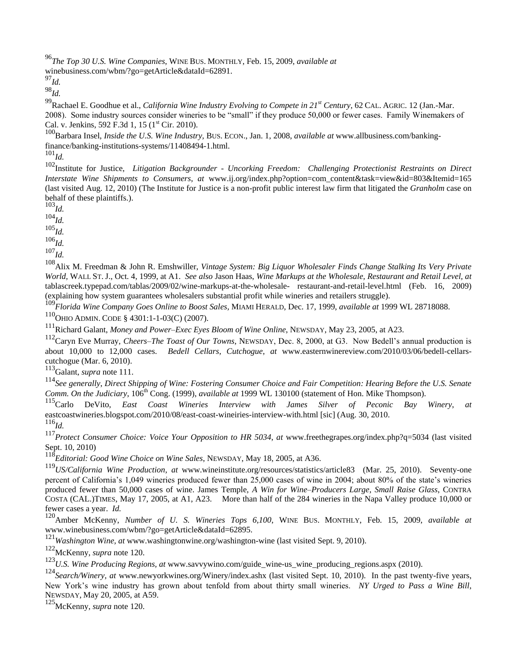<sup>96</sup>*The Top 30 U.S. Wine Companies*, WINE BUS. MONTHLY, Feb. 15, 2009, *available at* winebusiness.com/wbm/?go=getArticle&dataId=62891.

<sup>97</sup>*Id.*

<sup>98</sup>*Id.*

<sup>99</sup>Rachael E. Goodhue et al., *California Wine Industry Evolving to Compete in 21st Century*, 62 CAL. AGRIC. 12 (Jan.-Mar. 2008). Some industry sources consider wineries to be "small" if they produce 50,000 or fewer cases. Family Winemakers of Cal. v. Jenkins, 592 F.3d 1, 15 ( $1<sup>st</sup>$  Cir. 2010).

<sup>100</sup>Barbara Insel, *Inside the U.S. Wine Industry,* BUS. ECON., Jan. 1, 2008, *available at* www.allbusiness.com/bankingfinance/banking-institutions-systems/11408494-1.html. <sup>101</sup>*Id.*

102<sup>102</sup><br>Institute for Justice, *Litigation Backgrounder - Uncorking Freedom:* Challenging Protectionist Restraints on Direct *Interstate Wine Shipments to Consumers*, *at* www.ij.org/index.php?option=com\_content&task=view&id=803&Itemid=165 (last visited Aug. 12, 2010) (The Institute for Justice is a non-profit public interest law firm that litigated the *Granholm* case on behalf of these plaintiffs.).

<sup>103</sup>*Id.*

<sup>104</sup>*Id.*

<sup>105</sup>*Id.*

<sup>106</sup>*Id.*

<sup>107</sup>*Id.*

<sup>108</sup>Alix M. Freedman & John R. Emshwiller, *Vintage System: Big Liquor Wholesaler Finds Change Stalking Its Very Private World,* WALL ST. J., Oct. 4, 1999, at A1. *See also* Jason Haas, *Wine Markups at the Wholesale, Restaurant and Retail Level, at* tablascreek.typepad.com/tablas/2009/02/wine-markups-at-the-wholesale- restaurant-and-retail-level.html (Feb. 16, 2009) (explaining how system guarantees wholesalers substantial profit while wineries and retailers struggle).

<sup>109</sup>*Florida Wine Company Goes Online to Boost Sales,* MIAMI HERALD, Dec. 17, 1999, *available at* 1999 WL 28718088.

<sup>110</sup>OHIO ADMIN. CODE § 4301:1-1-03(C) (2007).

<sup>111</sup>Richard Galant, *Money and Power–Exec Eyes Bloom of Wine Online*, NEWSDAY, May 23, 2005, at A23.

<sup>112</sup>Caryn Eve Murray, *Cheers–The Toast of Our Towns*, NEWSDAY, Dec. 8, 2000, at G3. Now Bedell"s annual production is about 10,000 to 12,000 cases. *Bedell Cellars, Cutchogue*, *at* www.easternwinereview.com/2010/03/06/bedell-cellarscutchogue (Mar. 6, 2010).

<sup>113</sup>Galant, *supra* note 111.

<sup>114</sup>*See generally*, *Direct Shipping of Wine: Fostering Consumer Choice and Fair Competition: Hearing Before the U.S. Senate Comm. On the Judiciary*, 106<sup>th</sup> Cong. (1999), *available at* 1999 WL 130100 (statement of Hon. Mike Thompson).<br><sup>115</sup>Carlo DeVito. *East Coast Wineries Interview with James Silver of Peconic Bay* 

<sup>115</sup>Carlo DeVito, *East Coast Wineries Interview with James Silver of Peconic Bay Winery*, *at* eastcoastwineries.blogspot.com/2010/08/east-coast-wineiries-interview-with.html [sic] (Aug. 30, 2010.

<sup>116</sup>*Id.*

<sup>117</sup>*Protect Consumer Choice: Voice Your Opposition to HR 5034*, *at* www.freethegrapes.org/index.php?q=5034 (last visited Sept. 10, 2010)

<sup>118</sup>*Editorial: Good Wine Choice on Wine Sales*, NEWSDAY, May 18, 2005, at A36.

<sup>119</sup>*US/California Wine Production*, *at* www.wineinstitute.org/resources/statistics/article83 (Mar. 25, 2010). Seventy-one percent of California's 1,049 wineries produced fewer than 25,000 cases of wine in 2004; about 80% of the state's wineries produced fewer than 50,000 cases of wine. James Temple, *A Win for Wine–Producers Large, Small Raise Glass*, CONTRA COSTA (CAL.)TIMES, May 17, 2005, at A1, A23. More than half of the 284 wineries in the Napa Valley produce 10,000 or fewer cases a year. *Id.*

<sup>120</sup>Amber McKenny, *Number of U. S. Wineries Tops 6,100*, WINE BUS. MONTHLY, Feb. 15, 2009, *available at*  www.winebusiness.com/wbm/?go=getArticle&dataId=62895.

<sup>121</sup>*Washington Wine, at* www.washingtonwine.org/washington-wine (last visited Sept. 9, 2010).

<sup>122</sup>McKenny, *supra* note 120.

<sup>123</sup>*U.S. Wine Producing Regions, at* www.savvywino.com/guide\_wine-us\_wine\_producing\_regions.aspx (2010).

<sup>124</sup>*Search/Winery, at* www.newyorkwines.org/Winery/index.ashx (last visited Sept. 10, 2010). In the past twenty-five years, New York"s wine industry has grown about tenfold from about thirty small wineries. *NY Urged to Pass a Wine Bill*, NEWSDAY, May 20, 2005, at A59.

<sup>125</sup>McKenny, *supra* note 120.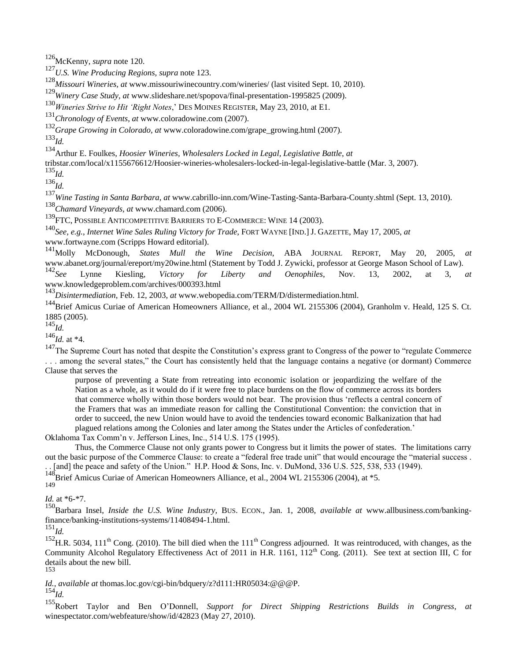<sup>126</sup>McKenny, *supra* note 120.

<sup>127</sup>*U.S. Wine Producing Regions, supra* note 123.

<sup>128</sup>*Missouri Wineries, at* www.missouriwinecountry.com/wineries/ (last visited Sept. 10, 2010).

<sup>129</sup>*Winery Case Study*, *at* www.slideshare.net/spopova/final-presentation-1995825 (2009).

<sup>130</sup>*Wineries Strive to Hit 'Right Notes*," DES MOINES REGISTER, May 23, 2010, at E1.

<sup>131</sup>*Chronology of Events*, *at* www.coloradowine.com (2007).

<sup>132</sup>*Grape Growing in Colorado, at* www.coloradowine.com/grape\_growing.html (2007).

<sup>133</sup>*Id.*

<sup>134</sup>Arthur E. Foulkes, *Hoosier Wineries, Wholesalers Locked in Legal, Legislative Battle*, *at*

tribstar.com/local/x1155676612/Hoosier-wineries-wholesalers-locked-in-legal-legislative-battle (Mar. 3, 2007).

<sup>135</sup>*Id.*

<sup>136</sup>*Id.*

<sup>137</sup>*Wine Tasting in Santa Barbara*, *at* www.cabrillo-inn.com/Wine-Tasting-Santa-Barbara-County.shtml (Sept. 13, 2010). <sup>138</sup>*Chamard Vineyards, at* www.chamard.com (2006).

<sup>139</sup>FTC, POSSIBLE ANTICOMPETITIVE BARRIERS TO E-COMMERCE: WINE 14 (2003).

<sup>140</sup>*See, e.g.*, *Internet Wine Sales Ruling Victory for Trade*, FORT WAYNE [IND.]J. GAZETTE, May 17, 2005, *at*  www.fortwayne.com (Scripps Howard editorial).

<sup>141</sup>Molly McDonough, *States Mull the Wine Decision*, ABA JOURNAL REPORT, May 20, 2005, *at* www.abanet.org/journal/ereport/my20wine.html (Statement by Todd J. Zywicki, professor at George Mason School of Law).<br><sup>142</sup>See Lynne Kiesling. *Victory for Liberty and Oenophiles*. Nov. 13, 2002. at 3.

<sup>142</sup>*See* Lynne Kiesling, *Victory for Liberty and Oenophiles*, Nov. 13, 2002, at 3, *at* www.knowledgeproblem.com/archives/000393.html

<sup>143</sup>*Disintermediation*, Feb. 12, 2003, *at* www.webopedia.com/TERM/D/distermediation.html.

<sup>144</sup>Brief Amicus Curiae of American Homeowners Alliance, et al., 2004 WL 2155306 (2004), Granholm v. Heald, 125 S. Ct. 1885 (2005).

<sup>145</sup>*Id.*

<sup>146</sup>*Id.* at \*4.

<sup>147</sup>The Supreme Court has noted that despite the Constitution's express grant to Congress of the power to "regulate Commerce" . . . among the several states," the Court has consistently held that the language contains a negative (or dormant) Commerce Clause that serves the

purpose of preventing a State from retreating into economic isolation or jeopardizing the welfare of the Nation as a whole, as it would do if it were free to place burdens on the flow of commerce across its borders that commerce wholly within those borders would not bear. The provision thus "reflects a central concern of the Framers that was an immediate reason for calling the Constitutional Convention: the conviction that in order to succeed, the new Union would have to avoid the tendencies toward economic Balkanization that had plagued relations among the Colonies and later among the States under the Articles of confederation."

Oklahoma Tax Comm"n v. Jefferson Lines, Inc., 514 U.S. 175 (1995).

Thus, the Commerce Clause not only grants power to Congress but it limits the power of states. The limitations carry out the basic purpose of the Commerce Clause: to create a "federal free trade unit" that would encourage the "material success . . [and] the peace and safety of the Union." H.P. Hood & Sons, Inc. v. DuMond, 336 U.S. 525, 538, 533 (1949).

 $188$ Brief Amicus Curiae of American Homeowners Alliance, et al., 2004 WL 2155306 (2004), at  $*5$ .

149

*Id.* at \*6-\*7.

<sup>150</sup>Barbara Insel, *Inside the U.S. Wine Industry,* BUS. ECON., Jan. 1, 2008, *available at* www.allbusiness.com/bankingfinance/banking-institutions-systems/11408494-1.html.

 $^{151}$ *Id.* 

 $^{152}$ H.R. 5034, 111<sup>th</sup> Cong. (2010). The bill died when the 111<sup>th</sup> Congress adjourned. It was reintroduced, with changes, as the Community Alcohol Regulatory Effectiveness Act of 2011 in H.R. 1161,  $112^{th}$  Cong. (2011). See text at section III, C for details about the new bill. 153

*Id., available at* thomas.loc.gov/cgi-bin/bdquery/z?d111:HR05034:@@@P.

<sup>154</sup>*Id.*

<sup>155</sup>Robert Taylor and Ben O"Donnell, *Support for Direct Shipping Restrictions Builds in Congress*, *at* winespectator.com/webfeature/show/id/42823 (May 27, 2010).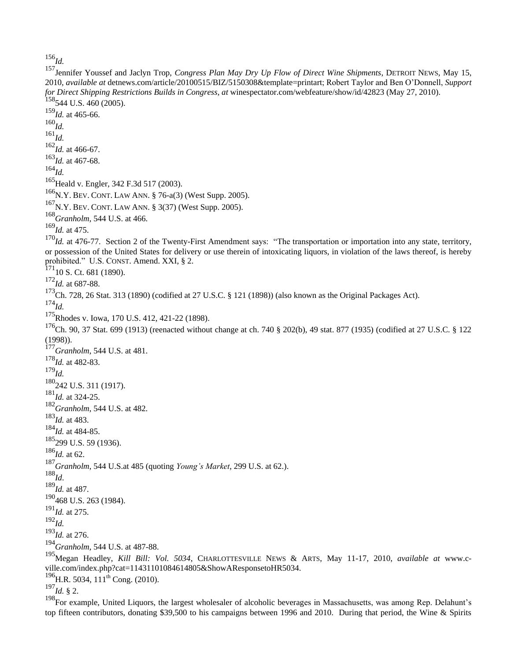*Id.*

Jennifer Youssef and Jaclyn Trop, *Congress Plan May Dry Up Flow of Direct Wine Shipments*, DETROIT NEWS, May 15, 2010, *available at* detnews.com/article/20100515/BIZ/5150308&template=printart; Robert Taylor and Ben O"Donnell, *Support for Direct Shipping Restrictions Builds in Congress*, *at* winespectator.com/webfeature/show/id/42823 (May 27, 2010). 544 U.S. 460 (2005). *Id.* at 465-66. *Id. Id. Id.* at 466-67. *Id.* at 467-68. *Id.* <sup>165</sup> Heald v. Engler, 342 F.3d 517 (2003). <sup>166</sup>N.Y. BEV. CONT. LAW ANN. § 76-a(3) (West Supp. 2005). N.Y. BEV. CONT. LAW ANN. § 3(37) (West Supp. 2005). *Granholm*, 544 U.S. at 466. *Id.* at 475. <sup>170</sup>*Id.* at 476-77. Section 2 of the Twenty-First Amendment says: "The transportation or importation into any state, territory, or possession of the United States for delivery or use therein of intoxicating liquors, in violation of the laws thereof, is hereby prohibited." U.S. CONST. Amend. XXI, § 2. <sub>10</sub> S. Ct. 681 (1890). *Id.* at 687-88. <sup>173</sup>Ch. 728, 26 Stat. 313 (1890) (codified at 27 U.S.C. § 121 (1898)) (also known as the Original Packages Act). *Id.* Rhodes v. Iowa, 170 U.S. 412, 421-22 (1898).  $^{176}$ Ch. 90, 37 Stat. 699 (1913) (reenacted without change at ch. 740 § 202(b), 49 stat. 877 (1935) (codified at 27 U.S.C. § 122 (1998)). *Granholm*, 544 U.S. at 481. *Id.* at 482-83. *Id.* 180<sub>242</sub> U.S. 311 (1917). *Id.* at 324-25. *Granholm*, 544 U.S. at 482. *Id.* at 483. *Id.* at 484-85. <sub>299</sub> U.S. 59 (1936). *Id.* at 62. *Granholm*, 544 U.S.at 485 (quoting *Young's Market*, 299 U.S. at 62.). *Id*. *Id.* at 487.  $^{190}$ 468 U.S. 263 (1984). *Id.* at 275. *Id. Id.* at 276. *Granholm*, 544 U.S. at 487-88. Megan Headley, *Kill Bill: Vol. 5034*, CHARLOTTESVILLE NEWS & ARTS, May 11-17, 2010, *available at* www.cville.com/index.php?cat=11431101084614805&ShowAResponsetoHR5034.  $^{196}$ H.R. 5034, 111<sup>th</sup> Cong. (2010). *Id.* § 2.

<sup>198</sup>For example, United Liquors, the largest wholesaler of alcoholic beverages in Massachusetts, was among Rep. Delahunt's top fifteen contributors, donating \$39,500 to his campaigns between 1996 and 2010. During that period, the Wine & Spirits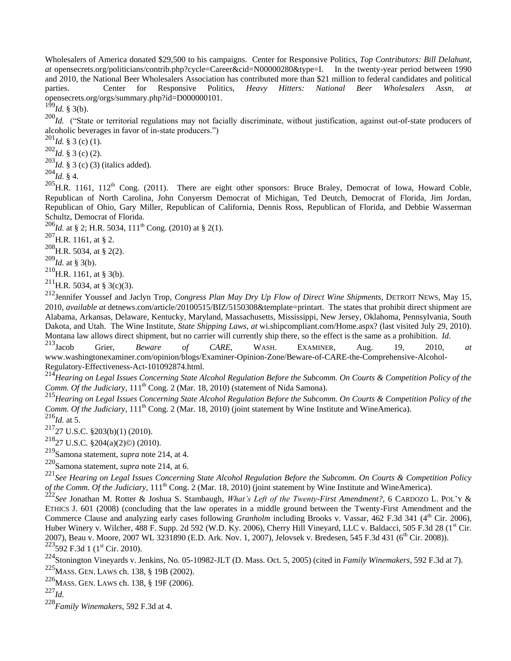Wholesalers of America donated \$29,500 to his campaigns. Center for Responsive Politics, *Top Contributors: Bill Delahunt, at* opensecrets.org/politicians/contrib.php?cycle=Career&cid=N00000280&type=I. In the twenty-year period between 1990 and 2010, the National Beer Wholesalers Association has contributed more than \$21 million to federal candidates and political parties. Center for Responsive Politics, *Heavy Hitters: National Beer Wholesalers Assn*, opensecrets.org/orgs/summary.php?id=D000000101.

 $1\overline{9}9$ *Id.* § 3(b).

<sup>200</sup>*Id.* ("State or territorial regulations may not facially discriminate, without justification, against out-of-state producers of alcoholic beverages in favor of in-state producers.")

 $^{201}$ *Id.* § 3 (c) (1).

 $^{202}$ *Id.* § 3 (c) (2).

<sup>203</sup>*Id.* § 3 (c) (3) (italics added).

 $^{204}$ *Id.* § 4.

 $^{205}$ H.R. 1161, 112<sup>th</sup> Cong. (2011). There are eight other sponsors: Bruce Braley, Democrat of Iowa, Howard Coble, Republican of North Carolina, John Conyersm Democrat of Michigan, Ted Deutch, Democrat of Florida, Jim Jordan, Republican of Ohio, Gary Miller, Republican of California, Dennis Ross, Republican of Florida, and Debbie Wasserman Schultz, Democrat of Florida.

<sup>206</sup>*Id.* at § 2; H.R. 5034, 111<sup>th</sup> Cong. (2010) at § 2(1).

 $^{207}$ H.R. 1161, at § 2.

 $^{208}$ H.R. 5034, at § 2(2).

<sup>209</sup>*Id.* at § 3(b).

 $^{210}$ H.R. 1161, at § 3(b).

<sup>211</sup>H.R. 5034, at § 3(c)(3).

<sup>212</sup>Jennifer Youssef and Jaclyn Trop, *Congress Plan May Dry Up Flow of Direct Wine Shipments*, DETROIT NEWS, May 15, 2010, *available at* detnews.com/article/20100515/BIZ/5150308&template=printart. The states that prohibit direct shipment are Alabama, Arkansas, Delaware, Kentucky, Maryland, Massachusetts, Mississippi, New Jersey, Oklahoma, Pennsylvania, South Dakota, and Utah. The Wine Institute, *State Shipping Laws*, *at* wi.shipcompliant.com/Home.aspx? (last visited July 29, 2010). Montana law allows direct shipment, but no carrier will currently ship there, so the effect is the same as a prohibition. *Id.*<br><sup>213</sup>Iacob Grier. *Beware of CARE*. WASH. EXAMINER. Aug. 19, 2010,

<sup>213</sup>Jacob Grier, *Beware of CARE*, WASH. EXAMINER, Aug. 19, 2010, *at* www.washingtonexaminer.com/opinion/blogs/Examiner-Opinion-Zone/Beware-of-CARE-the-Comprehensive-Alcohol-Regulatory-Effectiveness-Act-101092874.html.

<sup>214</sup>*Hearing on Legal Issues Concerning State Alcohol Regulation Before the Subcomm. On Courts & Competition Policy of the Comm. Of the Judiciary,* 111<sup>th</sup> Cong. 2 (Mar. 18, 2010) (statement of Nida Samona).

<sup>215</sup>*Hearing on Legal Issues Concerning State Alcohol Regulation Before the Subcomm. On Courts & Competition Policy of the Comm. Of the Judiciary,* 111<sup>th</sup> Cong. 2 (Mar. 18, 2010) (joint statement by Wine Institute and WineAmerica).  $^{216}$ *Id.* at 5.

 $217$ <sub>27</sub> U.S.C. §203(b)(1) (2010).

 $^{218}$ 27 U.S.C. §204(a)(2)©) (2010).

<sup>219</sup>Samona statement, *supra* note 214, at 4.

<sup>220</sup>Samona statement, *supra* note 214, at 6.

<sup>221</sup>*See Hearing on Legal Issues Concerning State Alcohol Regulation Before the Subcomm. On Courts & Competition Policy of the Comm. Of the Judiciary,*  $111<sup>th</sup>$  Cong. 2 (Mar. 18, 2010) (joint statement by Wine Institute and WineAmerica).

<sup>222</sup>*See* Jonathan M. Rotter & Joshua S. Stambaugh, *What's Left of the Twenty-First Amendment?*, 6 CARDOZO L. POL"Y & ETHICS J. 601 (2008) (concluding that the law operates in a middle ground between the Twenty-First Amendment and the Commerce Clause and analyzing early cases following *Granholm* including Brooks v. Vassar, 462 F.3d 341 (4<sup>th</sup> Cir. 2006), Huber Winery v. Wilcher, 488 F. Supp. 2d 592 (W.D. Ky. 2006), Cherry Hill Vineyard, LLC v. Baldacci, 505 F.3d 28 (1<sup>st</sup> Cir. 2007), Beau v. Moore, 2007 WL 3231890 (E.D. Ark. Nov. 1, 2007), Jelovsek v. Bredesen, 545 F.3d 431 (6<sup>th</sup> Cir. 2008)).  $223$ <sub>592</sub> F.3d 1 (1<sup>st</sup> Cir. 2010).

<sup>224</sup>Stonington Vineyards v. Jenkins, No. 05-10982-JLT (D. Mass. Oct. 5, 2005) (cited in *Family Winemakers,* 592 F.3d at 7).

<sup>225</sup>MASS. GEN. LAWS ch. 138, § 19B (2002).

<sup>226</sup>MASS. GEN. LAWS ch. 138, § 19F (2006).

<sup>227</sup>*Id.*

<sup>228</sup>*Family Winemakers*, 592 F.3d at 4.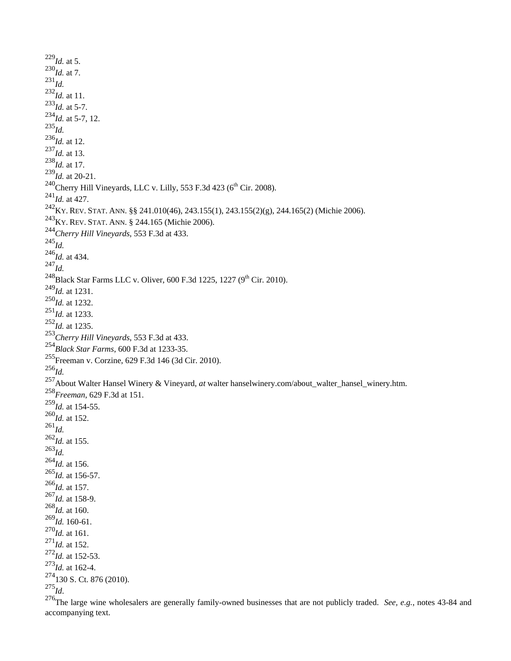*Id.* at 5.  $^{230}$ *Id.* at 7. *Id. Id.* at 11. *Id.* at 5-7.  $^{234}$ *Id.* at 5-7, 12. *Id. Id.* at 12. *Id.* at 13. *Id.* at 17. *Id.* at 20-21.  $^{240}$ Cherry Hill Vineyards, LLC v. Lilly, 553 F.3d 423 (6<sup>th</sup> Cir. 2008). *Id.* at 427. KY. REV. STAT. ANN. §§ 241.010(46), 243.155(1), 243.155(2)(g), 244.165(2) (Michie 2006). KY. REV. STAT. ANN. § 244.165 (Michie 2006). *Cherry Hill Vineyards*, 553 F.3d at 433. *Id. Id.* at 434. *Id.* <sup>248</sup>Black Star Farms LLC v. Oliver, 600 F.3d 1225, 1227 (9<sup>th</sup> Cir. 2010). *Id.* at 1231. *Id.* at 1232. *Id.* at 1233. *Id.* at 1235. *Cherry Hill Vineyards*, 553 F.3d at 433. *Black Star Farms*, 600 F.3d at 1233-35. Freeman v. Corzine, 629 F.3d 146 (3d Cir. 2010). *Id.* About Walter Hansel Winery & Vineyard, *at* walter hanselwinery.com/about\_walter\_hansel\_winery.htm. *Freeman*, 629 F.3d at 151. *Id.* at 154-55. *Id.* at 152. *Id. Id.* at 155. *Id. Id.* at 156. *Id.* at 156-57. *Id.* at 157. *Id.* at 158-9. *Id.* at 160. *Id.* 160-61. *Id.* at 161. *Id.* at 152. *Id.* at 152-53. *Id.* at 162-4. 130 S. Ct. 876 (2010). *Id*.

The large wine wholesalers are generally family-owned businesses that are not publicly traded. *See, e.g.*, notes 43-84 and accompanying text.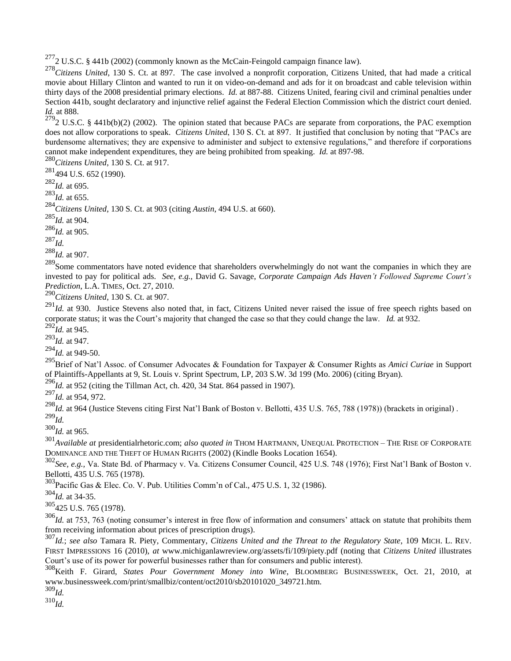$^{277}$ 2 U.S.C. § 441b (2002) (commonly known as the McCain-Feingold campaign finance law).

<sup>278</sup>Citizens United, 130 S. Ct. at 897. The case involved a nonprofit corporation, Citizens United, that had made a critical movie about Hillary Clinton and wanted to run it on video-on-demand and ads for it on broadcast and cable television within thirty days of the 2008 presidential primary elections. *Id.* at 887-88. Citizens United, fearing civil and criminal penalties under Section 441b, sought declaratory and injunctive relief against the Federal Election Commission which the district court denied. *Id.* at 888.

 $2792$  U.S.C. § 441b(b)(2) (2002). The opinion stated that because PACs are separate from corporations, the PAC exemption does not allow corporations to speak. *Citizens United*, 130 S. Ct. at 897. It justified that conclusion by noting that "PACs are burdensome alternatives; they are expensive to administer and subject to extensive regulations," and therefore if corporations cannot make independent expenditures, they are being prohibited from speaking. *Id.* at 897-98.

<sup>280</sup>*Citizens United*, 130 S. Ct. at 917.

 $^{281}$ 494 U.S. 652 (1990).

<sup>282</sup>*Id.* at 695.

<sup>283</sup>*Id.* at 655.

<sup>284</sup>*Citizens United*, 130 S. Ct. at 903 (citing *Austin*, 494 U.S. at 660).

<sup>285</sup>*Id.* at 904.

<sup>286</sup>*Id.* at 905.

<sup>287</sup>*Id.*

<sup>288</sup>*Id.* at 907.

<sup>289</sup>Some commentators have noted evidence that shareholders overwhelmingly do not want the companies in which they are invested to pay for political ads. *See, e.g.,* David G. Savage, *Corporate Campaign Ads Haven't Followed Supreme Court's Prediction*, L.A. TIMES, Oct. 27, 2010.

<sup>290</sup>*Citizens United*, 130 S. Ct. at 907.

<sup>291</sup>Id. at 930. Justice Stevens also noted that, in fact, Citizens United never raised the issue of free speech rights based on corporate status; it was the Court's majority that changed the case so that they could change the law. *Id.* at 932.

 $^{292}$ *Id.* at 945. <sup>293</sup>*Id.* at 947.

<sup>294</sup>*Id.* at 949-50.

<sup>295</sup>Brief of Nat"l Assoc. of Consumer Advocates & Foundation for Taxpayer & Consumer Rights as *Amici Curiae* in Support of Plaintiffs-Appellants at 9, St. Louis v. Sprint Spectrum, LP, 203 S.W. 3d 199 (Mo. 2006) (citing Bryan).

 $^{296}$ *Id.* at 952 (citing the Tillman Act, ch. 420, 34 Stat. 864 passed in 1907).

<sup>297</sup>*Id.* at 954, 972.

<sup>298</sup>*Id.* at 964 (Justice Stevens citing First Nat"l Bank of Boston v. Bellotti, 435 U.S. 765, 788 (1978)) (brackets in original) . <sup>299</sup>*Id.*

<sup>300</sup>*Id.* at 965.

<sup>301</sup>*Available at* presidentialrhetoric.com; *also quoted in* THOM HARTMANN, UNEQUAL PROTECTION – THE RISE OF CORPORATE DOMINANCE AND THE THEFT OF HUMAN RIGHTS (2002) (Kindle Books Location 1654).

<sup>302</sup>*See, e.g.,* Va. State Bd. of Pharmacy v. Va. Citizens Consumer Council, 425 U.S. 748 (1976); First Nat"l Bank of Boston v. Bellotti, 435 U.S. 765 (1978).

<sup>303</sup>Pacific Gas & Elec. Co. V. Pub. Utilities Comm"n of Cal., 475 U.S. 1, 32 (1986).

<sup>304</sup>*Id.* at 34-35.

<sup>305</sup>425 U.S. 765 (1978).

<sup>306</sup>*Id.* at 753, 763 (noting consumer's interest in free flow of information and consumers' attack on statute that prohibits them from receiving information about prices of prescription drugs).

<sup>307</sup>*Id.*; *see also* Tamara R. Piety, Commentary, *Citizens United and the Threat to the Regulatory State*, 109 MICH. L. REV. FIRST IMPRESSIONS 16 (2010), *at* www.michiganlawreview.org/assets/fi/109/piety.pdf (noting that *Citizens United* illustrates Court's use of its power for powerful businesses rather than for consumers and public interest).

<sup>308</sup>Keith F. Girard, *States Pour Government Money into Wine*, BLOOMBERG BUSINESSWEEK, Oct. 21, 2010, at www.businessweek.com/print/smallbiz/content/oct2010/sb20101020\_349721.htm.

<sup>309</sup>*Id.*

<sup>310</sup>*Id.*